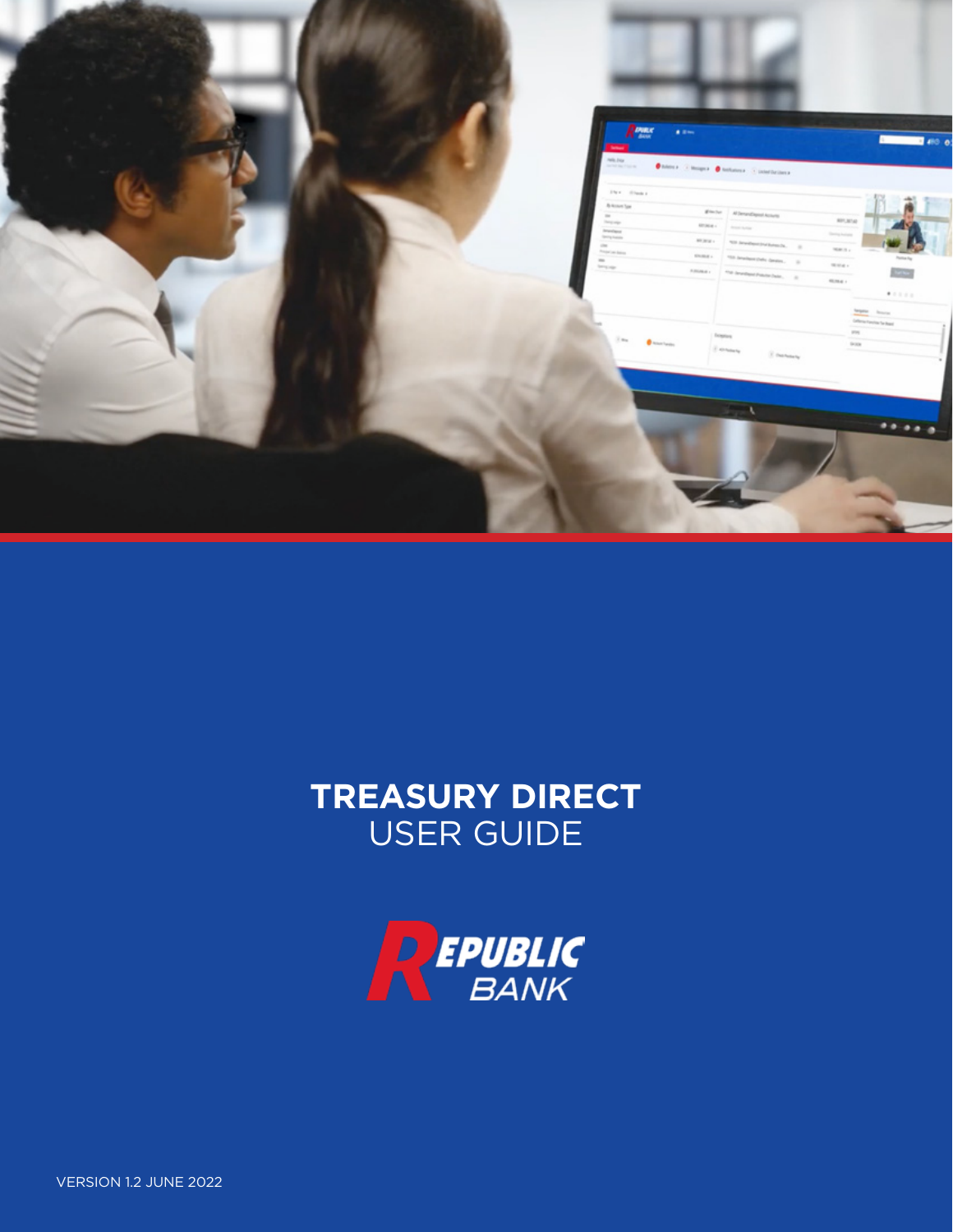

# **TREASURY DIRECT** USER GUIDE

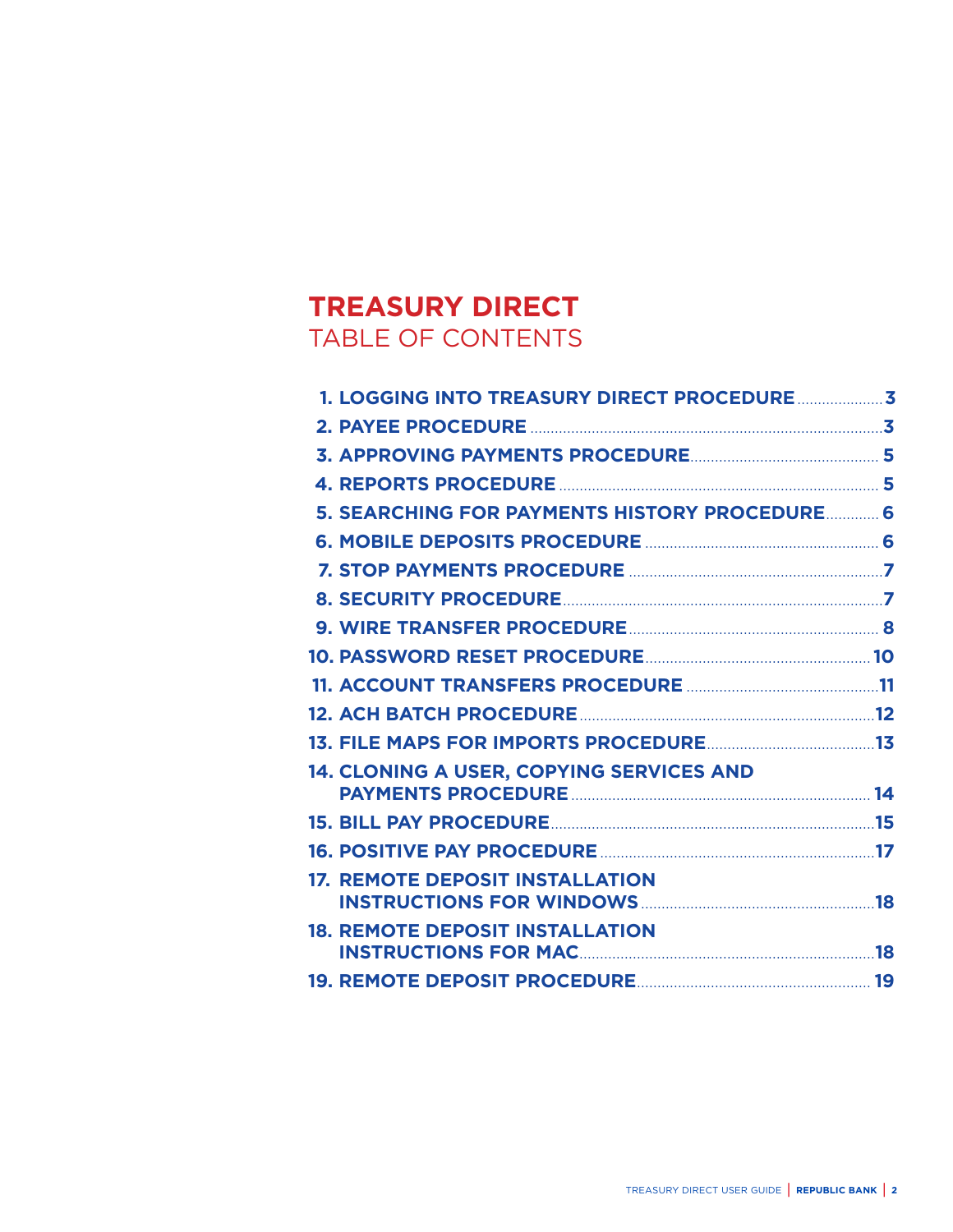# **TREASURY DIRECT** TABLE OF CONTENTS

| 5. SEARCHING FOR PAYMENTS HISTORY PROCEDURE 6   |  |
|-------------------------------------------------|--|
|                                                 |  |
|                                                 |  |
|                                                 |  |
|                                                 |  |
|                                                 |  |
|                                                 |  |
|                                                 |  |
|                                                 |  |
| <b>14. CLONING A USER, COPYING SERVICES AND</b> |  |
|                                                 |  |
|                                                 |  |
| <b>17. REMOTE DEPOSIT INSTALLATION</b>          |  |
| <b>18. REMOTE DEPOSIT INSTALLATION</b>          |  |
|                                                 |  |
|                                                 |  |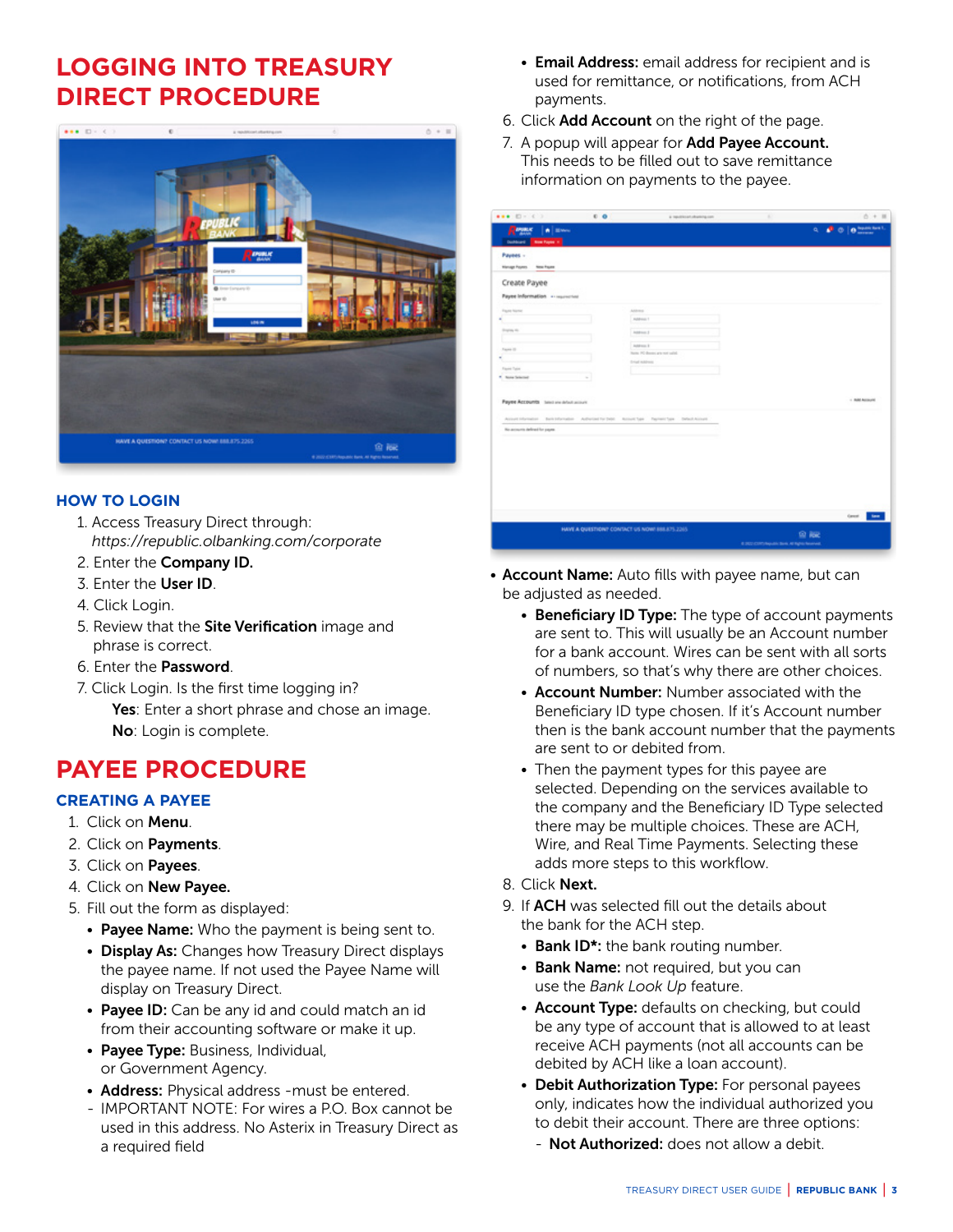# <span id="page-2-0"></span>**LOGGING INTO TREASURY DIRECT PROCEDURE**



### **HOW TO LOGIN**

- 1. Access Treasury Direct through: *https://republic.olbanking.com/corporate*
- 2. Enter the Company ID.
- 3. Enter the User ID.
- 4. Click Login.
- 5. Review that the Site Verification image and phrase is correct.
- 6. Enter the Password.
- 7. Click Login. Is the first time logging in? Yes: Enter a short phrase and chose an image. No: Login is complete.

# **PAYEE PROCEDURE**

# **CREATING A PAYEE**

- 1. Click on Menu.
- 2. Click on Payments.
- 3. Click on Payees.
- 4. Click on New Payee.
- 5. Fill out the form as displayed:
	- Payee Name: Who the payment is being sent to.
	- Display As: Changes how Treasury Direct displays the payee name. If not used the Payee Name will display on Treasury Direct.
	- Payee ID: Can be any id and could match an id from their accounting software or make it up.
	- Payee Type: Business, Individual, or Government Agency.
	- Address: Physical address must be entered.
	- IMPORTANT NOTE: For wires a P.O. Box cannot be used in this address. No Asterix in Treasury Direct as a required field
- Email Address: email address for recipient and is used for remittance, or notifications, from ACH payments.
- 6. Click Add Account on the right of the page.
- 7. A popup will appear for **Add Payee Account.** This needs to be filled out to save remittance information on payments to the payee.

| R <sub>200</sub> x<br>A Bren           |                                                                                                          |    | $0 + 11$                                   |
|----------------------------------------|----------------------------------------------------------------------------------------------------------|----|--------------------------------------------|
|                                        |                                                                                                          |    | $\sigma$ $\phi$ $\phi$ $\phi$ and the line |
| <b>Cultivation Reserves in</b>         |                                                                                                          |    |                                            |
| Payees -                               |                                                                                                          |    |                                            |
| <b>Hanaph Forms</b><br>New Young       |                                                                                                          |    |                                            |
| Create Payee                           |                                                                                                          |    |                                            |
|                                        |                                                                                                          |    |                                            |
| <b><i>Faulte Name</i></b>              | Atlenta                                                                                                  |    |                                            |
|                                        | Automobile T                                                                                             |    |                                            |
| Drama, IX                              | Automotive                                                                                               |    |                                            |
|                                        |                                                                                                          |    |                                            |
| <b>Taylor III</b>                      | Automatic<br>Nems PC thorac are not said.                                                                |    |                                            |
|                                        | Drug while you                                                                                           |    |                                            |
| Florid Type                            |                                                                                                          |    |                                            |
| <sup>1</sup> Scott Science             |                                                                                                          |    |                                            |
|                                        |                                                                                                          |    | + MAI Account                              |
| Payer Accounts hand are detect account |                                                                                                          |    |                                            |
|                                        | Accord Information - Bank Hitwinston - Authorized for Debt - Accord Spa - Teplestic Spa - Defect Accords |    |                                            |
| No accepts delined for payer.          |                                                                                                          |    |                                            |
|                                        |                                                                                                          |    |                                            |
|                                        |                                                                                                          |    |                                            |
|                                        |                                                                                                          |    |                                            |
|                                        |                                                                                                          |    |                                            |
|                                        |                                                                                                          |    |                                            |
|                                        |                                                                                                          |    |                                            |
|                                        |                                                                                                          |    |                                            |
|                                        |                                                                                                          |    |                                            |
|                                        |                                                                                                          |    | Great Lang                                 |
|                                        | HAVE A QUESTION? CONTACT US NOW! 888.875.2265.                                                           |    |                                            |
|                                        |                                                                                                          | 鱼脑 |                                            |

- Account Name: Auto fills with payee name, but can be adjusted as needed.
	- Beneficiary ID Type: The type of account payments are sent to. This will usually be an Account number for a bank account. Wires can be sent with all sorts of numbers, so that's why there are other choices.
	- Account Number: Number associated with the Beneficiary ID type chosen. If it's Account number then is the bank account number that the payments are sent to or debited from.
	- Then the payment types for this payee are selected. Depending on the services available to the company and the Beneficiary ID Type selected there may be multiple choices. These are ACH, Wire, and Real Time Payments. Selecting these adds more steps to this workflow.
	- 8. Click Next.
	- 9. If ACH was selected fill out the details about the bank for the ACH step.
		- Bank ID<sup>\*</sup>: the bank routing number.
		- Bank Name: not required, but you can use the *Bank Look Up* feature.
		- Account Type: defaults on checking, but could be any type of account that is allowed to at least receive ACH payments (not all accounts can be debited by ACH like a loan account).
		- Debit Authorization Type: For personal payees only, indicates how the individual authorized you to debit their account. There are three options:
			- Not Authorized: does not allow a debit.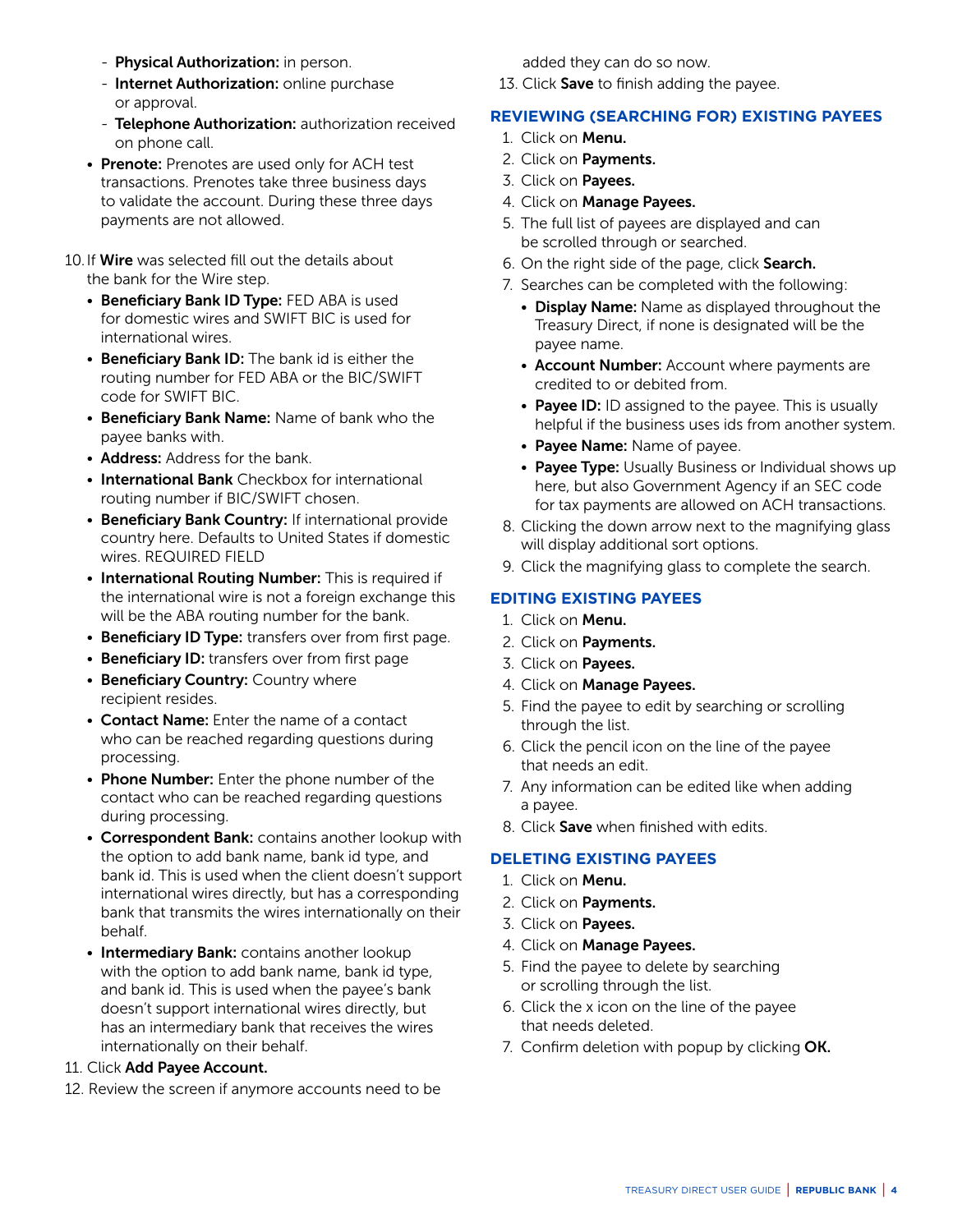- Physical Authorization: in person.
- Internet Authorization: online purchase or approval.
- Telephone Authorization: authorization received on phone call.
- Prenote: Prenotes are used only for ACH test transactions. Prenotes take three business days to validate the account. During these three days payments are not allowed.
- 10. If **Wire** was selected fill out the details about the bank for the Wire step.
	- Beneficiary Bank ID Type: FED ABA is used for domestic wires and SWIFT BIC is used for international wires.
	- Beneficiary Bank ID: The bank id is either the routing number for FED ABA or the BIC/SWIFT code for SWIFT BIC.
	- Beneficiary Bank Name: Name of bank who the payee banks with.
	- **Address:** Address for the bank.
	- International Bank Checkbox for international routing number if BIC/SWIFT chosen.
	- Beneficiary Bank Country: If international provide country here. Defaults to United States if domestic wires. REQUIRED FIELD
	- International Routing Number: This is required if the international wire is not a foreign exchange this will be the ABA routing number for the bank.
	- Beneficiary ID Type: transfers over from first page.
	- Beneficiary ID: transfers over from first page
	- Beneficiary Country: Country where recipient resides.
	- Contact Name: Enter the name of a contact who can be reached regarding questions during processing.
	- Phone Number: Enter the phone number of the contact who can be reached regarding questions during processing.
	- Correspondent Bank: contains another lookup with the option to add bank name, bank id type, and bank id. This is used when the client doesn't support international wires directly, but has a corresponding bank that transmits the wires internationally on their behalf.
	- Intermediary Bank: contains another lookup with the option to add bank name, bank id type, and bank id. This is used when the payee's bank doesn't support international wires directly, but has an intermediary bank that receives the wires internationally on their behalf.

#### 11. Click Add Payee Account.

12. Review the screen if anymore accounts need to be

added they can do so now.

13. Click Save to finish adding the payee.

# **REVIEWING (SEARCHING FOR) EXISTING PAYEES**

- 1. Click on Menu.
- 2. Click on Payments.
- 3. Click on Payees.
- 4. Click on Manage Payees.
- 5. The full list of payees are displayed and can be scrolled through or searched.
- 6. On the right side of the page, click Search.
- 7. Searches can be completed with the following:
	- Display Name: Name as displayed throughout the Treasury Direct, if none is designated will be the payee name.
	- Account Number: Account where payments are credited to or debited from.
	- Payee ID: ID assigned to the payee. This is usually helpful if the business uses ids from another system.
	- Payee Name: Name of payee.
	- Payee Type: Usually Business or Individual shows up here, but also Government Agency if an SEC code for tax payments are allowed on ACH transactions.
- 8. Clicking the down arrow next to the magnifying glass will display additional sort options.
- 9. Click the magnifying glass to complete the search.

# **EDITING EXISTING PAYEES**

- 1. Click on Menu.
- 2. Click on Payments.
- 3. Click on Payees.
- 4. Click on Manage Payees.
- 5. Find the payee to edit by searching or scrolling through the list.
- 6. Click the pencil icon on the line of the payee that needs an edit.
- 7. Any information can be edited like when adding a payee.
- 8. Click Save when finished with edits.

# **DELETING EXISTING PAYEES**

- 1. Click on Menu.
- 2. Click on Payments.
- 3. Click on Payees.
- 4. Click on Manage Payees.
- 5. Find the payee to delete by searching or scrolling through the list.
- 6. Click the x icon on the line of the payee that needs deleted.
- 7. Confirm deletion with popup by clicking OK.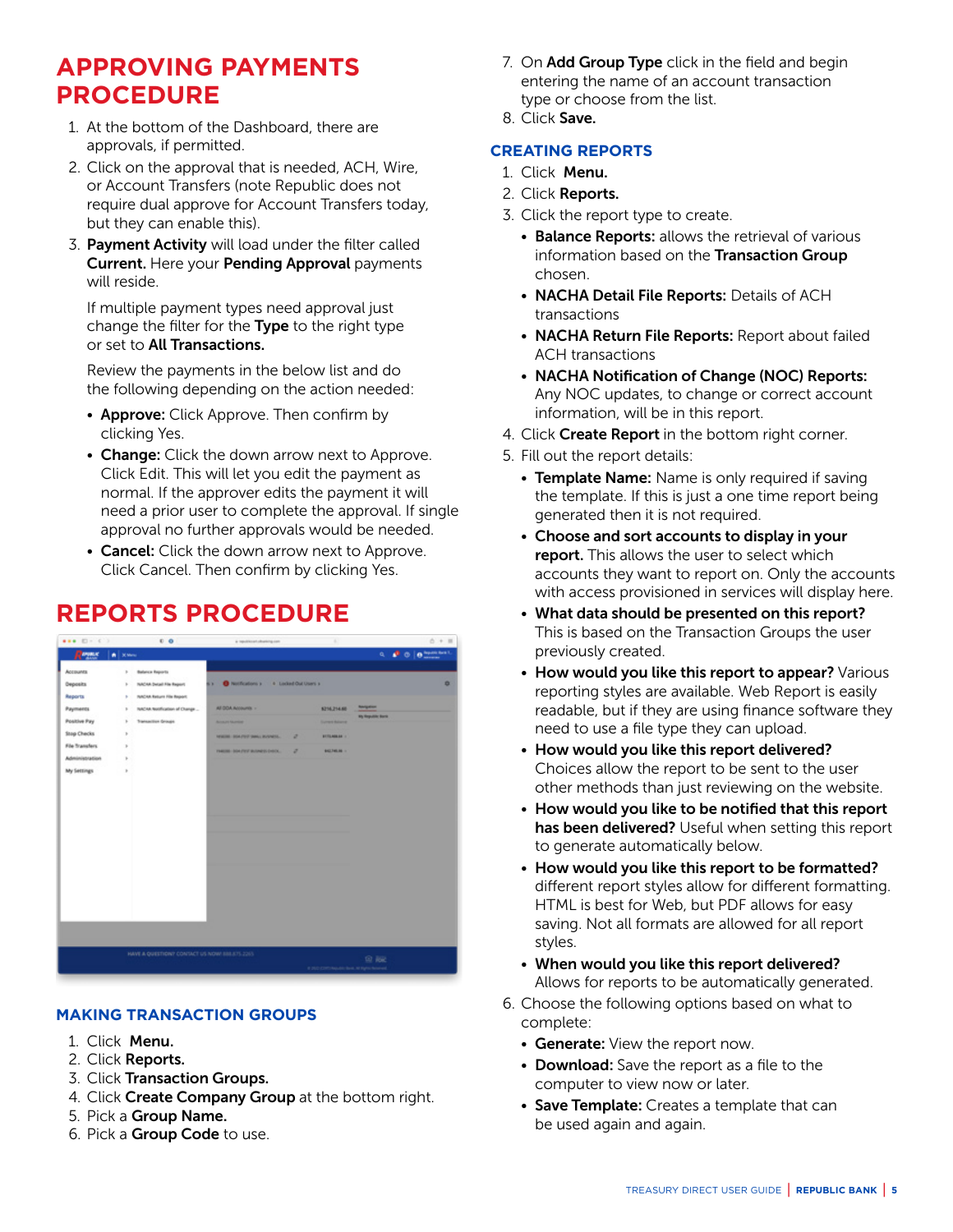# <span id="page-4-0"></span>**APPROVING PAYMENTS PROCEDURE**

- 1. At the bottom of the Dashboard, there are approvals, if permitted.
- 2. Click on the approval that is needed, ACH, Wire, or Account Transfers (note Republic does not require dual approve for Account Transfers today, but they can enable this).
- 3. Payment Activity will load under the filter called Current. Here your Pending Approval payments will reside.

 If multiple payment types need approval just change the filter for the Type to the right type or set to All Transactions.

 Review the payments in the below list and do the following depending on the action needed:

- Approve: Click Approve. Then confirm by clicking Yes.
- Change: Click the down arrow next to Approve. Click Edit. This will let you edit the payment as normal. If the approver edits the payment it will need a prior user to complete the approval. If single approval no further approvals would be needed.
- Cancel: Click the down arrow next to Approve. Click Cancel. Then confirm by clicking Yes.

# **REPORTS PROCEDURE**



# **MAKING TRANSACTION GROUPS**

- 1. Click Menu.
- 2. Click Reports.
- 3. Click Transaction Groups.
- 4. Click Create Company Group at the bottom right.
- 5. Pick a Group Name.
- 6. Pick a Group Code to use.
- 7. On **Add Group Type** click in the field and begin entering the name of an account transaction type or choose from the list.
- 8. Click Save.

### **CREATING REPORTS**

- 1. Click Menu.
- 2. Click Reports.
- 3. Click the report type to create.
	- Balance Reports: allows the retrieval of various information based on the Transaction Group chosen.
	- NACHA Detail File Reports: Details of ACH transactions
	- NACHA Return File Reports: Report about failed ACH transactions
	- NACHA Notification of Change (NOC) Reports: Any NOC updates, to change or correct account information, will be in this report.
- 4. Click Create Report in the bottom right corner.
- 5. Fill out the report details:
	- Template Name: Name is only required if saving the template. If this is just a one time report being generated then it is not required.
	- Choose and sort accounts to display in your report. This allows the user to select which accounts they want to report on. Only the accounts with access provisioned in services will display here.
	- What data should be presented on this report? This is based on the Transaction Groups the user previously created.
	- How would you like this report to appear? Various reporting styles are available. Web Report is easily readable, but if they are using finance software they need to use a file type they can upload.
	- How would you like this report delivered? Choices allow the report to be sent to the user other methods than just reviewing on the website.
	- How would you like to be notified that this report has been delivered? Useful when setting this report to generate automatically below.
	- How would you like this report to be formatted? different report styles allow for different formatting. HTML is best for Web, but PDF allows for easy saving. Not all formats are allowed for all report styles.
	- When would you like this report delivered? Allows for reports to be automatically generated.
- 6. Choose the following options based on what to complete:
	- Generate: View the report now.
	- Download: Save the report as a file to the computer to view now or later.
	- Save Template: Creates a template that can be used again and again.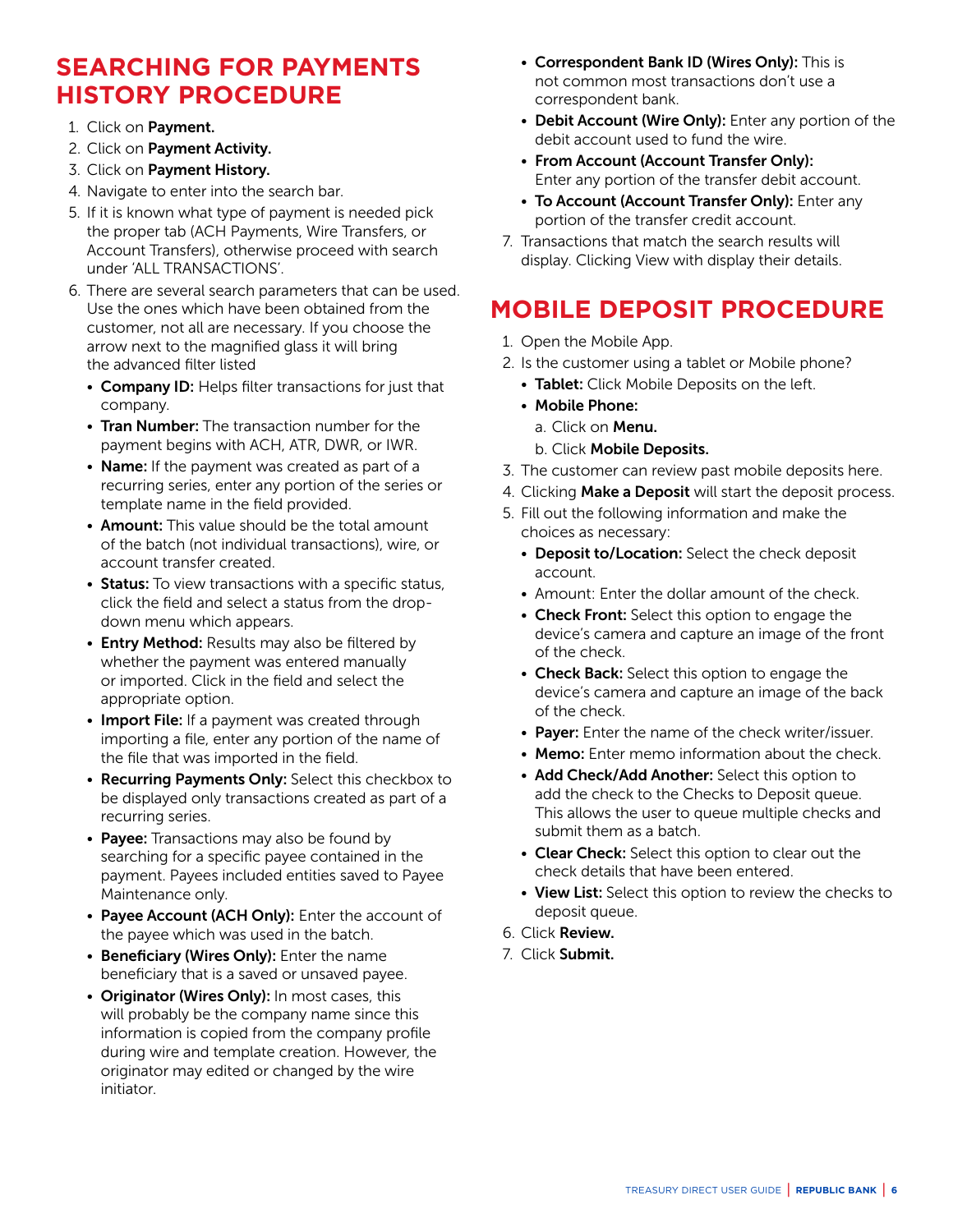# <span id="page-5-0"></span>**SEARCHING FOR PAYMENTS HISTORY PROCEDURE**

- 1. Click on Payment.
- 2. Click on Payment Activity.
- 3. Click on Payment History.
- 4. Navigate to enter into the search bar.
- 5. If it is known what type of payment is needed pick the proper tab (ACH Payments, Wire Transfers, or Account Transfers), otherwise proceed with search under 'ALL TRANSACTIONS'.
- 6. There are several search parameters that can be used. Use the ones which have been obtained from the customer, not all are necessary. If you choose the arrow next to the magnified glass it will bring the advanced filter listed
	- Company ID: Helps filter transactions for just that company.
	- Tran Number: The transaction number for the payment begins with ACH, ATR, DWR, or IWR.
	- Name: If the payment was created as part of a recurring series, enter any portion of the series or template name in the field provided.
	- **Amount:** This value should be the total amount of the batch (not individual transactions), wire, or account transfer created.
	- Status: To view transactions with a specific status, click the field and select a status from the dropdown menu which appears.
	- Entry Method: Results may also be filtered by whether the payment was entered manually or imported. Click in the field and select the appropriate option.
	- Import File: If a payment was created through importing a file, enter any portion of the name of the file that was imported in the field.
	- Recurring Payments Only: Select this checkbox to be displayed only transactions created as part of a recurring series.
	- Payee: Transactions may also be found by searching for a specific payee contained in the payment. Payees included entities saved to Payee Maintenance only.
	- Payee Account (ACH Only): Enter the account of the payee which was used in the batch.
	- Beneficiary (Wires Only): Enter the name beneficiary that is a saved or unsaved payee.
	- Originator (Wires Only): In most cases, this will probably be the company name since this information is copied from the company profile during wire and template creation. However, the originator may edited or changed by the wire initiator.
- Correspondent Bank ID (Wires Only): This is not common most transactions don't use a correspondent bank.
- Debit Account (Wire Only): Enter any portion of the debit account used to fund the wire.
- From Account (Account Transfer Only): Enter any portion of the transfer debit account.
- To Account (Account Transfer Only): Enter any portion of the transfer credit account.
- 7. Transactions that match the search results will display. Clicking View with display their details.

# **MOBILE DEPOSIT PROCEDURE**

- 1. Open the Mobile App.
- 2. Is the customer using a tablet or Mobile phone?
	- Tablet: Click Mobile Deposits on the left.
	- Mobile Phone:
		- a. Click on Menu.
		- b. Click Mobile Deposits.
- 3. The customer can review past mobile deposits here.
- 4. Clicking Make a Deposit will start the deposit process.
- 5. Fill out the following information and make the choices as necessary:
	- Deposit to/Location: Select the check deposit account.
	- Amount: Enter the dollar amount of the check.
	- Check Front: Select this option to engage the device's camera and capture an image of the front of the check.
	- Check Back: Select this option to engage the device's camera and capture an image of the back of the check.
	- Payer: Enter the name of the check writer/issuer.
	- Memo: Enter memo information about the check.
	- Add Check/Add Another: Select this option to add the check to the Checks to Deposit queue. This allows the user to queue multiple checks and submit them as a batch.
	- Clear Check: Select this option to clear out the check details that have been entered.
	- View List: Select this option to review the checks to deposit queue.
- 6. Click Review.
- 7. Click Submit.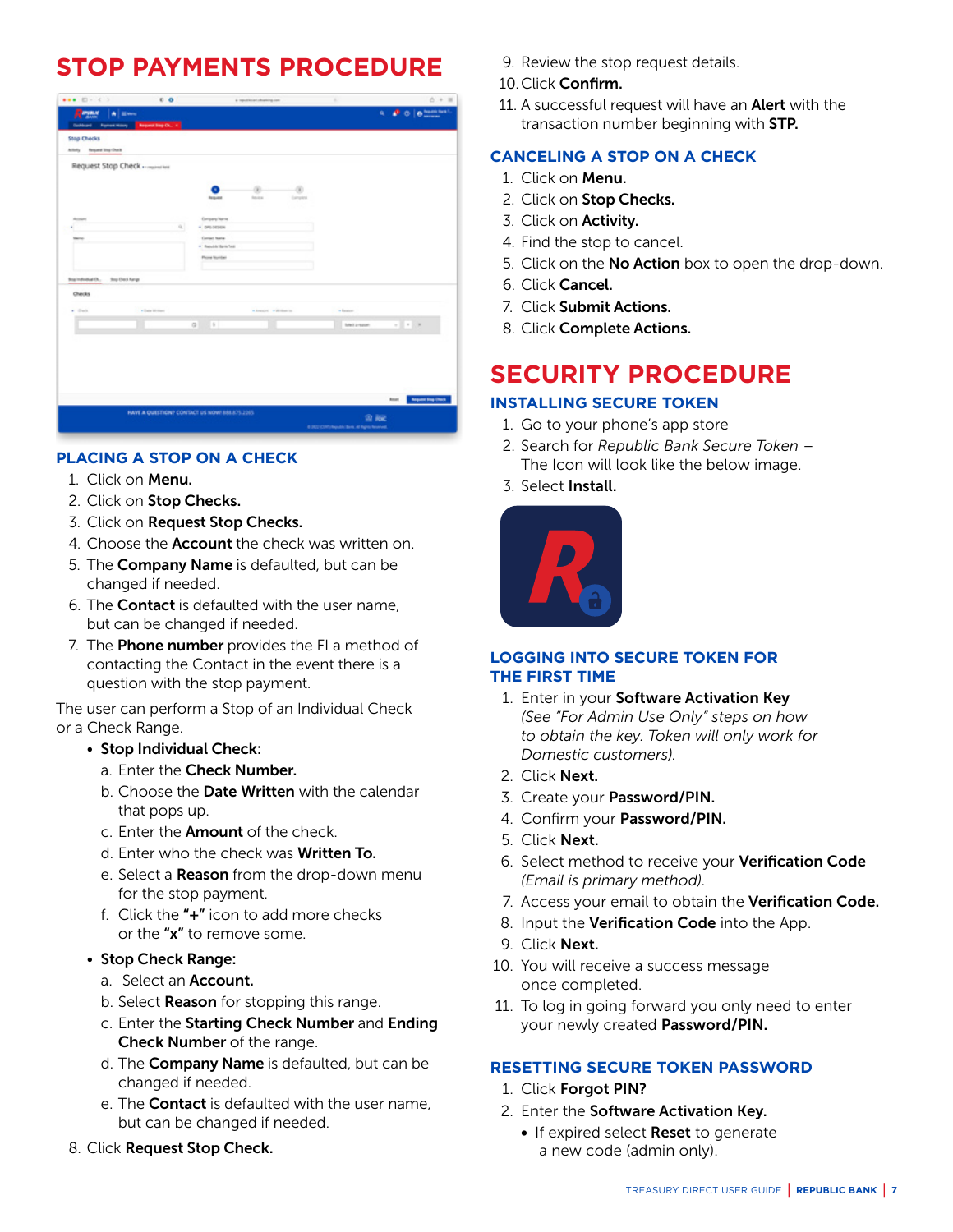# <span id="page-6-0"></span>**STOP PAYMENTS PROCEDURE**

|                              | $C$ O                              | a restrictationing con-                         |                           | $0 + 11$                  |
|------------------------------|------------------------------------|-------------------------------------------------|---------------------------|---------------------------|
| Report<br>A Breve            |                                    |                                                 |                           |                           |
| <b>Durings</b>               | Ferrest Hospy - Report Eng Ch., it |                                                 |                           |                           |
| <b>Stop Checks</b>           |                                    |                                                 |                           |                           |
| Actually Request Sing-Charit |                                    |                                                 |                           |                           |
| Request Stop Check           |                                    |                                                 |                           |                           |
|                              |                                    |                                                 |                           |                           |
|                              |                                    | œ                                               |                           |                           |
|                              |                                    | <b>Required</b><br><b>Southern</b><br>Executive |                           |                           |
| Acoust                       |                                    | Company/Name                                    |                           |                           |
|                              | $\mathbf{a}$                       | 4 DRI-DEHDA                                     |                           |                           |
| Memo-                        |                                    | <b>Carried Name</b>                             |                           |                           |
|                              |                                    | . Republic Bank Text                            |                           |                           |
|                              |                                    | Plone fiscriber                                 |                           |                           |
|                              |                                    |                                                 |                           |                           |
|                              |                                    |                                                 |                           |                           |
| <b>Sou Onct Airgs</b>        |                                    |                                                 |                           |                           |
| Checks                       |                                    |                                                 |                           |                           |
| $+$ dist.                    | · Date Writers                     | Adventure. Advised to:                          | * finish                  |                           |
|                              |                                    | $2 - 16$                                        | $-11.5$<br>Total argument |                           |
| final individual Dr.,        |                                    |                                                 |                           |                           |
|                              |                                    |                                                 |                           |                           |
|                              |                                    |                                                 |                           |                           |
|                              |                                    |                                                 |                           |                           |
|                              |                                    |                                                 |                           |                           |
|                              |                                    |                                                 |                           |                           |
|                              |                                    |                                                 | Rosen                     | <b>Request Stop Chack</b> |
|                              |                                    | HAVE A QUESTION? CONTACT US NOW! 888.875.2265.  | 鱼脑                        |                           |

# **PLACING A STOP ON A CHECK**

- 1. Click on Menu.
- 2. Click on Stop Checks.
- 3. Click on Request Stop Checks.
- 4. Choose the **Account** the check was written on.
- 5. The **Company Name** is defaulted, but can be changed if needed.
- 6. The Contact is defaulted with the user name, but can be changed if needed.
- 7. The **Phone number** provides the FI a method of contacting the Contact in the event there is a question with the stop payment.

The user can perform a Stop of an Individual Check or a Check Range.

#### • Stop Individual Check:

- a. Enter the Check Number.
- b. Choose the Date Written with the calendar that pops up.
- c. Enter the **Amount** of the check.
- d. Enter who the check was Written To.
- e. Select a **Reason** from the drop-down menu for the stop payment.
- f. Click the "+" icon to add more checks or the "x" to remove some.

#### • Stop Check Range:

- a. Select an **Account.**
- b. Select **Reason** for stopping this range.
- c. Enter the Starting Check Number and Ending Check Number of the range.
- d. The **Company Name** is defaulted, but can be changed if needed.
- e. The **Contact** is defaulted with the user name, but can be changed if needed.
- 8. Click Request Stop Check.
- 9. Review the stop request details.
- 10.Click Confirm.
- 11. A successful request will have an **Alert** with the transaction number beginning with STP.

# **CANCELING A STOP ON A CHECK**

- 1. Click on Menu.
- 2. Click on Stop Checks.
- 3. Click on Activity.
- 4. Find the stop to cancel.
- 5. Click on the No Action box to open the drop-down.
- 6. Click Cancel.
- 7. Click Submit Actions.
- 8. Click Complete Actions.

# **SECURITY PROCEDURE**

# **INSTALLING SECURE TOKEN**

- 1. Go to your phone's app store
- 2. Search for *Republic Bank Secure Token* The Icon will look like the below image.
- 3. Select Install.



### **LOGGING INTO SECURE TOKEN FOR THE FIRST TIME**

- 1. Enter in your Software Activation Key *(See "For Admin Use Only" steps on how to obtain the key. Token will only work for Domestic customers).*
- 2. Click Next.
- 3. Create your Password/PIN.
- 4. Confirm your Password/PIN.
- 5. Click Next.
- 6. Select method to receive your Verification Code *(Email is primary method).*
- 7. Access your email to obtain the Verification Code.
- 8. Input the Verification Code into the App.
- 9. Click Next.
- 10. You will receive a success message once completed.
- 11. To log in going forward you only need to enter your newly created Password/PIN.

#### **RESETTING SECURE TOKEN PASSWORD**

- 1. Click Forgot PIN?
- 2. Enter the Software Activation Key.
	- If expired select Reset to generate a new code (admin only).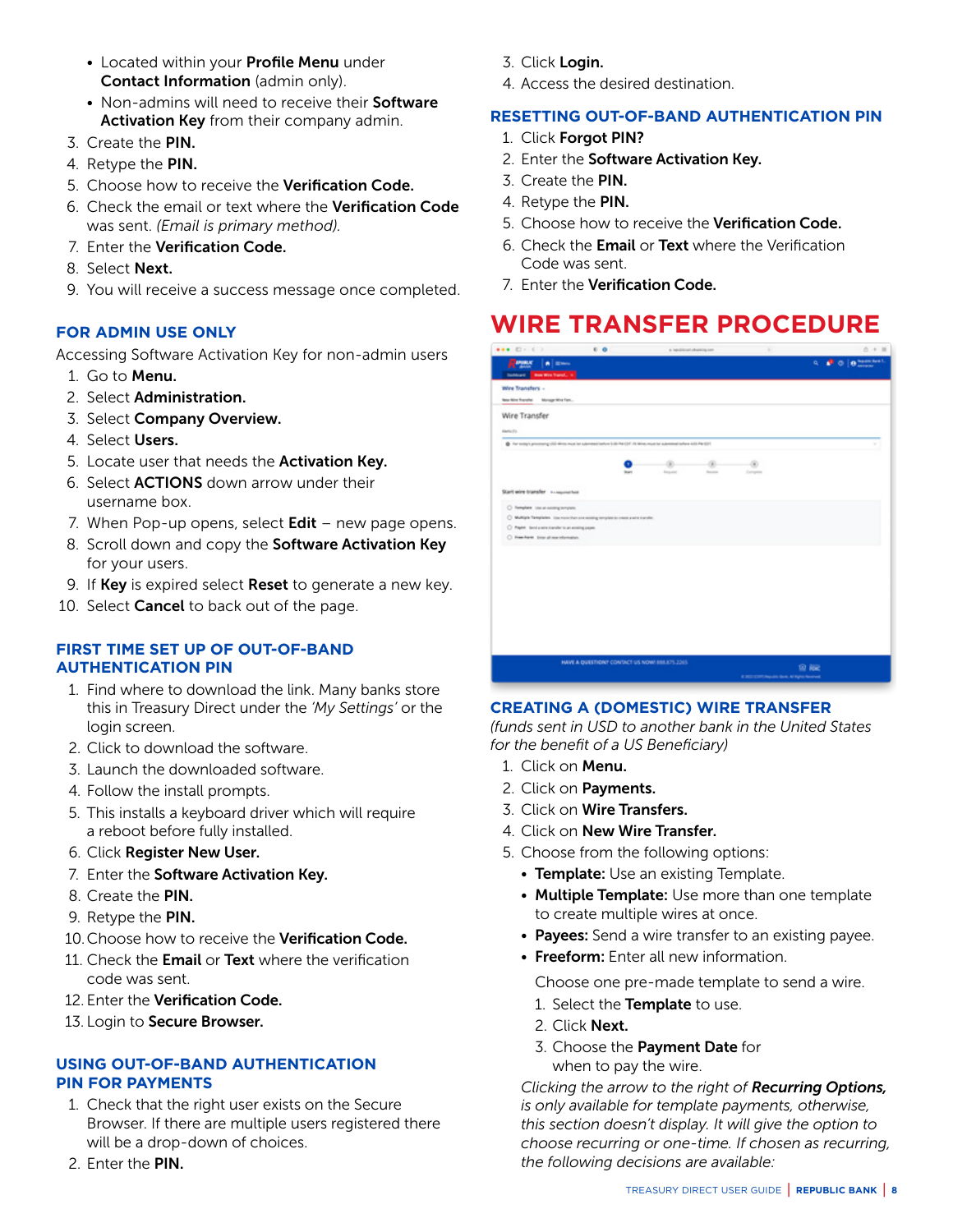- <span id="page-7-0"></span>• Located within your Profile Menu under Contact Information (admin only).
- Non-admins will need to receive their Software Activation Key from their company admin.
- 3. Create the PIN.
- 4. Retype the PIN.
- 5. Choose how to receive the Verification Code.
- 6. Check the email or text where the Verification Code was sent. *(Email is primary method).*
- 7. Enter the Verification Code.
- 8. Select Next.
- 9. You will receive a success message once completed.

### **FOR ADMIN USE ONLY**

Accessing Software Activation Key for non-admin users

- 1. Go to Menu.
- 2. Select Administration.
- 3. Select Company Overview.
- 4. Select Users.
- 5. Locate user that needs the Activation Key.
- 6. Select ACTIONS down arrow under their username box.
- 7. When Pop-up opens, select  $Edit$  new page opens.
- 8. Scroll down and copy the Software Activation Key for your users.
- 9. If Key is expired select Reset to generate a new key.
- 10. Select Cancel to back out of the page.

#### **FIRST TIME SET UP OF OUT-OF-BAND AUTHENTICATION PIN**

- 1. Find where to download the link. Many banks store this in Treasury Direct under the *'My Settings'* or the login screen.
- 2. Click to download the software.
- 3. Launch the downloaded software.
- 4. Follow the install prompts.
- 5. This installs a keyboard driver which will require a reboot before fully installed.
- 6. Click Register New User.
- 7. Enter the Software Activation Key.
- 8. Create the PIN.
- 9. Retype the PIN.
- 10. Choose how to receive the Verification Code.
- 11. Check the Email or Text where the verification code was sent.
- 12. Enter the Verification Code.
- 13. Login to Secure Browser.

#### **USING OUT-OF-BAND AUTHENTICATION PIN FOR PAYMENTS**

- 1. Check that the right user exists on the Secure Browser. If there are multiple users registered there will be a drop-down of choices.
- 2. Enter the PIN.
- 3. Click Login.
- 4. Access the desired destination.

#### **RESETTING OUT-OF-BAND AUTHENTICATION PIN**

- 1. Click Forgot PIN?
- 2. Enter the Software Activation Key.
- 3. Create the PIN.
- 4. Retype the PIN.
- 5. Choose how to receive the Verification Code.
- 6. Check the Email or Text where the Verification Code was sent.
- 7. Enter the Verification Code.

# **WIRE TRANSFER PROCEDURE**

| $0.0$   $0$ hasnibal.<br>Report<br>a.<br>A Blows<br><b>Culture: New Win Travel. In:</b><br>@ The system processing USD Wines must be submitted individuals (SF, NCM) et use that submitted before 4100 PM (ST).<br>Total Art of<br><b>Balance</b><br>Exhibition<br>C Remplate, Use an existing template.<br>C Multiple Templates - Use more than and existing template to analyze advertises the<br>C Paper, best under transfer to an entring paper.<br>C Ree-harm Dranal-sounds-matter. |                                                          | a resultivent character con- |  | $0 + B$ |
|-------------------------------------------------------------------------------------------------------------------------------------------------------------------------------------------------------------------------------------------------------------------------------------------------------------------------------------------------------------------------------------------------------------------------------------------------------------------------------------------|----------------------------------------------------------|------------------------------|--|---------|
|                                                                                                                                                                                                                                                                                                                                                                                                                                                                                           |                                                          |                              |  |         |
|                                                                                                                                                                                                                                                                                                                                                                                                                                                                                           | Wire Transfers -<br>New Wire Transfer  Manager Wire Farm |                              |  |         |
|                                                                                                                                                                                                                                                                                                                                                                                                                                                                                           | Wire Transfer                                            |                              |  |         |
|                                                                                                                                                                                                                                                                                                                                                                                                                                                                                           | Allerto (F)                                              |                              |  |         |
|                                                                                                                                                                                                                                                                                                                                                                                                                                                                                           |                                                          |                              |  |         |
|                                                                                                                                                                                                                                                                                                                                                                                                                                                                                           | Start wire transfer - composition                        |                              |  |         |
|                                                                                                                                                                                                                                                                                                                                                                                                                                                                                           |                                                          |                              |  |         |
|                                                                                                                                                                                                                                                                                                                                                                                                                                                                                           |                                                          |                              |  |         |
|                                                                                                                                                                                                                                                                                                                                                                                                                                                                                           |                                                          |                              |  |         |
|                                                                                                                                                                                                                                                                                                                                                                                                                                                                                           |                                                          |                              |  |         |
|                                                                                                                                                                                                                                                                                                                                                                                                                                                                                           |                                                          |                              |  |         |
|                                                                                                                                                                                                                                                                                                                                                                                                                                                                                           |                                                          |                              |  |         |
|                                                                                                                                                                                                                                                                                                                                                                                                                                                                                           |                                                          |                              |  |         |
|                                                                                                                                                                                                                                                                                                                                                                                                                                                                                           |                                                          |                              |  |         |
|                                                                                                                                                                                                                                                                                                                                                                                                                                                                                           |                                                          |                              |  |         |
|                                                                                                                                                                                                                                                                                                                                                                                                                                                                                           |                                                          |                              |  |         |
|                                                                                                                                                                                                                                                                                                                                                                                                                                                                                           |                                                          |                              |  |         |
|                                                                                                                                                                                                                                                                                                                                                                                                                                                                                           |                                                          |                              |  |         |
|                                                                                                                                                                                                                                                                                                                                                                                                                                                                                           |                                                          |                              |  |         |
| HAVE A QUESTION? CONTACT US NOW! 888.875.2265.<br>应解                                                                                                                                                                                                                                                                                                                                                                                                                                      |                                                          |                              |  |         |

#### **CREATING A (DOMESTIC) WIRE TRANSFER**

*(funds sent in USD to another bank in the United States for the benefit of a US Beneficiary)*

- 1. Click on Menu.
- 2. Click on Payments.
- 3. Click on Wire Transfers.
- 4. Click on New Wire Transfer.
- 5. Choose from the following options:
	- Template: Use an existing Template.
	- Multiple Template: Use more than one template to create multiple wires at once.
	- Payees: Send a wire transfer to an existing payee.
	- Freeform: Enter all new information.

Choose one pre-made template to send a wire.

- 1. Select the Template to use.
- 2. Click Next.
- 3. Choose the Payment Date for when to pay the wire.

*Clicking the arrow to the right of Recurring Options, is only available for template payments, otherwise, this section doesn't display. It will give the option to choose recurring or one-time. If chosen as recurring, the following decisions are available:*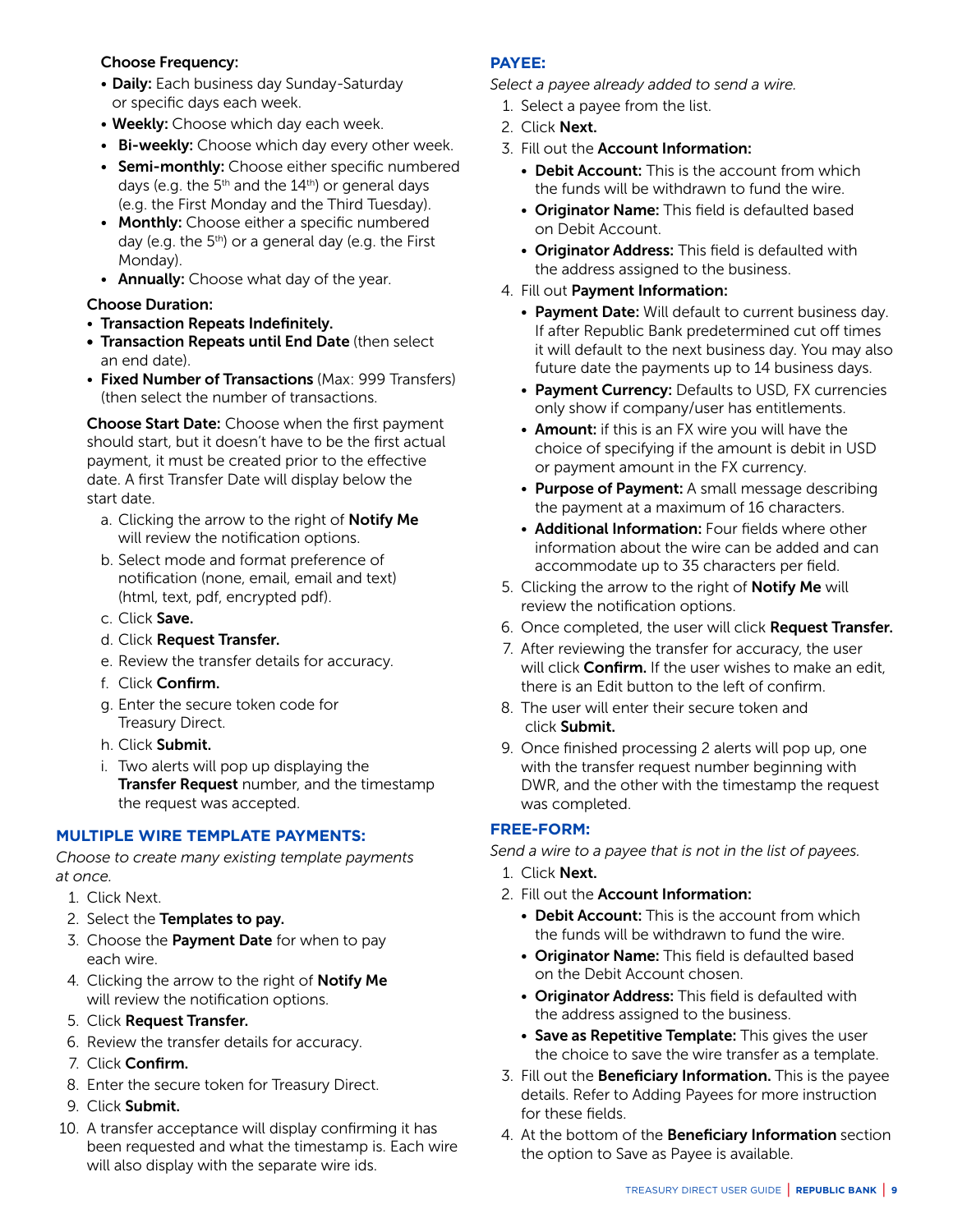#### Choose Frequency:

- Daily: Each business day Sunday-Saturday or specific days each week.
- Weekly: Choose which day each week.
- Bi-weekly: Choose which day every other week.
- Semi-monthly: Choose either specific numbered days (e.g. the  $5<sup>th</sup>$  and the  $14<sup>th</sup>$ ) or general days (e.g. the First Monday and the Third Tuesday).
- Monthly: Choose either a specific numbered day (e.g. the  $5<sup>th</sup>$ ) or a general day (e.g. the First Monday).
- Annually: Choose what day of the year.

# Choose Duration:

- Transaction Repeats Indefinitely.
- Transaction Repeats until End Date (then select an end date).
- Fixed Number of Transactions (Max: 999 Transfers) (then select the number of transactions.

Choose Start Date: Choose when the first payment should start, but it doesn't have to be the first actual payment, it must be created prior to the effective date. A first Transfer Date will display below the start date.

- a. Clicking the arrow to the right of **Notify Me** will review the notification options.
- b. Select mode and format preference of notification (none, email, email and text) (html, text, pdf, encrypted pdf).
- c. Click Save.
- d. Click Request Transfer.
- e. Review the transfer details for accuracy.
- f. Click Confirm.
- g. Enter the secure token code for Treasury Direct.
- h. Click Submit.
- i. Two alerts will pop up displaying the **Transfer Request** number, and the timestamp the request was accepted.

#### **MULTIPLE WIRE TEMPLATE PAYMENTS:**

*Choose to create many existing template payments at once.*

- 1. Click Next.
- 2. Select the Templates to pay.
- 3. Choose the Payment Date for when to pay each wire.
- 4. Clicking the arrow to the right of **Notify Me** will review the notification options.
- 5. Click Request Transfer.
- 6. Review the transfer details for accuracy.
- 7. Click Confirm.
- 8. Enter the secure token for Treasury Direct.
- 9. Click Submit.
- 10. A transfer acceptance will display confirming it has been requested and what the timestamp is. Each wire will also display with the separate wire ids.

# **PAYEE:**

*Select a payee already added to send a wire.*

- 1. Select a payee from the list.
- 2. Click Next.
- 3. Fill out the Account Information:
	- Debit Account: This is the account from which the funds will be withdrawn to fund the wire.
	- Originator Name: This field is defaulted based on Debit Account.
	- Originator Address: This field is defaulted with the address assigned to the business.
- 4. Fill out Payment Information:
	- Payment Date: Will default to current business day. If after Republic Bank predetermined cut off times it will default to the next business day. You may also future date the payments up to 14 business days.
	- Payment Currency: Defaults to USD, FX currencies only show if company/user has entitlements.
	- Amount: if this is an FX wire you will have the choice of specifying if the amount is debit in USD or payment amount in the FX currency.
	- Purpose of Payment: A small message describing the payment at a maximum of 16 characters.
	- Additional Information: Four fields where other information about the wire can be added and can accommodate up to 35 characters per field.
- 5. Clicking the arrow to the right of **Notify Me** will review the notification options.
- 6. Once completed, the user will click **Request Transfer.**
- 7. After reviewing the transfer for accuracy, the user will click **Confirm.** If the user wishes to make an edit, there is an Edit button to the left of confirm.
- 8. The user will enter their secure token and click Submit.
- 9. Once finished processing 2 alerts will pop up, one with the transfer request number beginning with DWR, and the other with the timestamp the request was completed.

# **FREE-FORM:**

*Send a wire to a payee that is not in the list of payees.*

- 1. Click Next.
- 2. Fill out the Account Information:
	- Debit Account: This is the account from which the funds will be withdrawn to fund the wire.
	- Originator Name: This field is defaulted based on the Debit Account chosen.
	- Originator Address: This field is defaulted with the address assigned to the business.
	- Save as Repetitive Template: This gives the user the choice to save the wire transfer as a template.
- 3. Fill out the **Beneficiary Information.** This is the payee details. Refer to Adding Payees for more instruction for these fields.
- 4. At the bottom of the **Beneficiary Information** section the option to Save as Payee is available.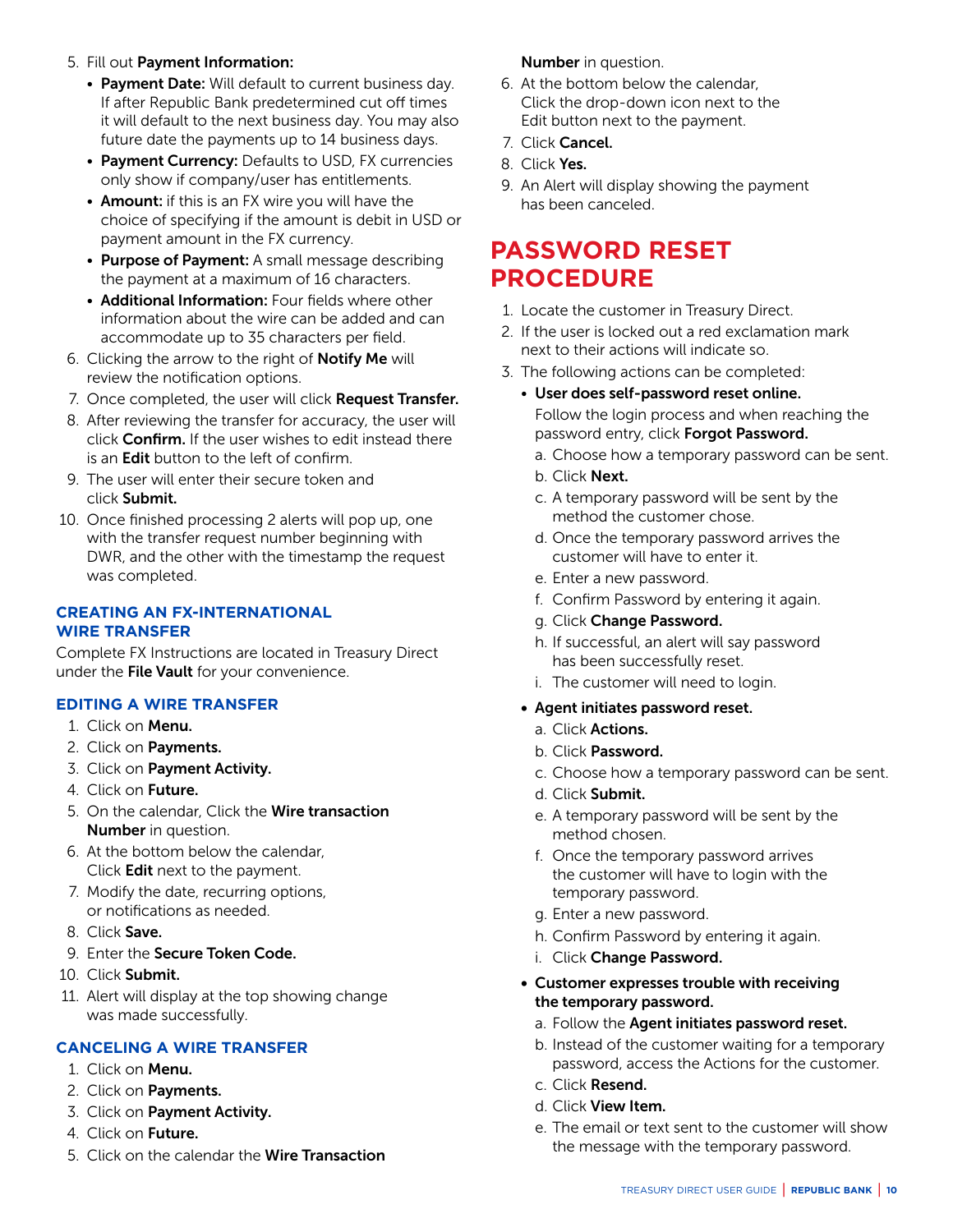- <span id="page-9-0"></span>5. Fill out Payment Information:
	- Payment Date: Will default to current business day. If after Republic Bank predetermined cut off times it will default to the next business day. You may also future date the payments up to 14 business days.
	- Payment Currency: Defaults to USD, FX currencies only show if company/user has entitlements.
	- Amount: if this is an FX wire you will have the choice of specifying if the amount is debit in USD or payment amount in the FX currency.
	- Purpose of Payment: A small message describing the payment at a maximum of 16 characters.
	- Additional Information: Four fields where other information about the wire can be added and can accommodate up to 35 characters per field.
- 6. Clicking the arrow to the right of Notify Me will review the notification options.
- 7. Once completed, the user will click Request Transfer.
- 8. After reviewing the transfer for accuracy, the user will click Confirm. If the user wishes to edit instead there is an Edit button to the left of confirm.
- 9. The user will enter their secure token and click Submit.
- 10. Once finished processing 2 alerts will pop up, one with the transfer request number beginning with DWR, and the other with the timestamp the request was completed.

#### **CREATING AN FX-INTERNATIONAL WIRE TRANSFER**

Complete FX Instructions are located in Treasury Direct under the File Vault for your convenience.

#### **EDITING A WIRE TRANSFER**

- 1. Click on Menu.
- 2. Click on Payments.
- 3. Click on Payment Activity.
- 4. Click on Future.
- 5. On the calendar, Click the Wire transaction Number in question.
- 6. At the bottom below the calendar, Click Edit next to the payment.
- 7. Modify the date, recurring options, or notifications as needed.
- 8. Click Save.
- 9. Enter the Secure Token Code.
- 10. Click Submit.
- 11. Alert will display at the top showing change was made successfully.

#### **CANCELING A WIRE TRANSFER**

- 1. Click on Menu.
- 2. Click on **Payments.**
- 3. Click on Payment Activity.
- 4. Click on Future.
- 5. Click on the calendar the Wire Transaction

#### Number in question.

- 6. At the bottom below the calendar, Click the drop-down icon next to the Edit button next to the payment.
- 7. Click Cancel.
- 8. Click Yes.
- 9. An Alert will display showing the payment has been canceled.

# **PASSWORD RESET PROCEDURE**

- 1. Locate the customer in Treasury Direct.
- 2. If the user is locked out a red exclamation mark next to their actions will indicate so.
- 3. The following actions can be completed:
	- User does self-password reset online. Follow the login process and when reaching the password entry, click Forgot Password.
		- a. Choose how a temporary password can be sent.
		- b. Click Next.
		- c. A temporary password will be sent by the method the customer chose.
		- d. Once the temporary password arrives the customer will have to enter it.
		- e. Enter a new password.
		- f. Confirm Password by entering it again.
		- g. Click Change Password.
		- h. If successful, an alert will say password has been successfully reset.
		- i. The customer will need to login.
	- Agent initiates password reset.
		- a. Click Actions.
		- b. Click Password.
		- c. Choose how a temporary password can be sent.
		- d. Click Submit.
		- e. A temporary password will be sent by the method chosen.
		- f. Once the temporary password arrives the customer will have to login with the temporary password.
		- g. Enter a new password.
		- h. Confirm Password by entering it again.
		- i. Click Change Password.
	- Customer expresses trouble with receiving the temporary password.
		- a. Follow the Agent initiates password reset.
		- b. Instead of the customer waiting for a temporary password, access the Actions for the customer.
		- c. Click Resend.
		- d. Click View Item.
		- e. The email or text sent to the customer will show the message with the temporary password.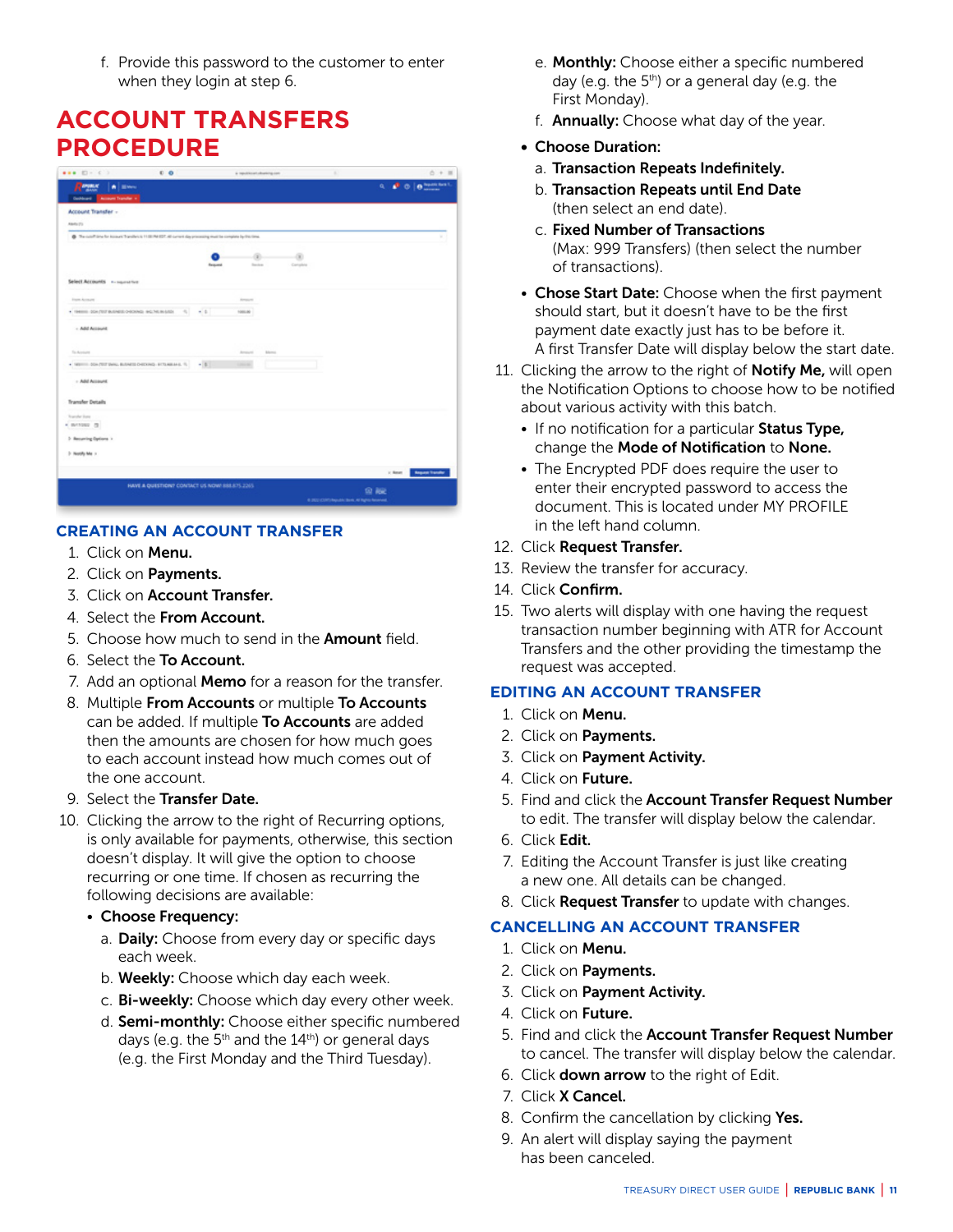<span id="page-10-0"></span> f. Provide this password to the customer to enter when they login at step 6.

# **ACCOUNT TRANSFERS PROCEDURE**

|                                                                                                                      | 00                                             | a republicant character con-                   |                                            | $0 + 11$                                                                                                                                                                                                                                                                                                                                                                                                                                                                             |
|----------------------------------------------------------------------------------------------------------------------|------------------------------------------------|------------------------------------------------|--------------------------------------------|--------------------------------------------------------------------------------------------------------------------------------------------------------------------------------------------------------------------------------------------------------------------------------------------------------------------------------------------------------------------------------------------------------------------------------------------------------------------------------------|
| Report<br>A Black                                                                                                    |                                                |                                                |                                            | $\sigma = \mathbf{e}_1 \cdot \mathbf{e}_2 \cdot \mathbf{e}_3 \cdot \mathbf{e}_4 \cdot \mathbf{e}_5 \cdot \mathbf{e}_6 \cdot \mathbf{e}_7 \cdot \mathbf{e}_8 \cdot \mathbf{e}_9 \cdot \mathbf{e}_1 \cdot \mathbf{e}_2 \cdot \mathbf{e}_5 \cdot \mathbf{e}_6 \cdot \mathbf{e}_7 \cdot \mathbf{e}_8 \cdot \mathbf{e}_8 \cdot \mathbf{e}_9 \cdot \mathbf{e}_9 \cdot \mathbf{e}_9 \cdot \mathbf{e}_9 \cdot \mathbf{e}_9 \cdot \mathbf{e}_9 \cdot \mathbf{e}_9 \cdot \mathbf{e}_9 \cdot \$ |
| <b>Duchlard Ballmark Transfer +</b>                                                                                  |                                                |                                                |                                            |                                                                                                                                                                                                                                                                                                                                                                                                                                                                                      |
| Account Transfer -                                                                                                   |                                                |                                                |                                            |                                                                                                                                                                                                                                                                                                                                                                                                                                                                                      |
| Alaska (TL)                                                                                                          |                                                |                                                |                                            |                                                                                                                                                                                                                                                                                                                                                                                                                                                                                      |
| The custoff lance for incounts Transfers to 11.00.794 EDT, 46 current slay processing must be complete by this time. |                                                |                                                |                                            | ×                                                                                                                                                                                                                                                                                                                                                                                                                                                                                    |
|                                                                                                                      |                                                |                                                |                                            |                                                                                                                                                                                                                                                                                                                                                                                                                                                                                      |
|                                                                                                                      |                                                | ۰<br>×<br><b>Service</b><br>Complete<br>Resume |                                            |                                                                                                                                                                                                                                                                                                                                                                                                                                                                                      |
|                                                                                                                      |                                                |                                                |                                            |                                                                                                                                                                                                                                                                                                                                                                                                                                                                                      |
| Select Accounts - na superatives                                                                                     |                                                |                                                |                                            |                                                                                                                                                                                                                                                                                                                                                                                                                                                                                      |
| Frem Armore                                                                                                          |                                                | Armore                                         |                                            |                                                                                                                                                                                                                                                                                                                                                                                                                                                                                      |
| . ISBN 0047078-0408-040040-9074-9074                                                                                 | ×.<br>$-0.1$                                   | 100326                                         |                                            |                                                                                                                                                                                                                                                                                                                                                                                                                                                                                      |
| - Add Account                                                                                                        |                                                |                                                |                                            |                                                                                                                                                                                                                                                                                                                                                                                                                                                                                      |
|                                                                                                                      |                                                |                                                |                                            |                                                                                                                                                                                                                                                                                                                                                                                                                                                                                      |
| Technism                                                                                                             |                                                | Armore<br><b>Billiannia</b>                    |                                            |                                                                                                                                                                                                                                                                                                                                                                                                                                                                                      |
| . METTI GOLFSTONIA BANSE DEDING ETAMINA S.                                                                           | $-11$                                          |                                                |                                            |                                                                                                                                                                                                                                                                                                                                                                                                                                                                                      |
|                                                                                                                      |                                                |                                                |                                            |                                                                                                                                                                                                                                                                                                                                                                                                                                                                                      |
| + Add Account                                                                                                        |                                                |                                                |                                            |                                                                                                                                                                                                                                                                                                                                                                                                                                                                                      |
| Transfer Details                                                                                                     |                                                |                                                |                                            |                                                                                                                                                                                                                                                                                                                                                                                                                                                                                      |
| Transfer Euro                                                                                                        |                                                |                                                |                                            |                                                                                                                                                                                                                                                                                                                                                                                                                                                                                      |
| · avenue in                                                                                                          |                                                |                                                |                                            |                                                                                                                                                                                                                                                                                                                                                                                                                                                                                      |
| 2 Recurring Explore 1                                                                                                |                                                |                                                |                                            |                                                                                                                                                                                                                                                                                                                                                                                                                                                                                      |
| 2 North Ma 1                                                                                                         |                                                |                                                |                                            |                                                                                                                                                                                                                                                                                                                                                                                                                                                                                      |
|                                                                                                                      |                                                |                                                |                                            |                                                                                                                                                                                                                                                                                                                                                                                                                                                                                      |
|                                                                                                                      |                                                |                                                |                                            | <b>Anguest Fornite</b><br>ic Amer                                                                                                                                                                                                                                                                                                                                                                                                                                                    |
|                                                                                                                      | HAVE A QUESTION? CONTACT US NOW! 888.875.2265. |                                                |                                            | <b>92 ASC</b>                                                                                                                                                                                                                                                                                                                                                                                                                                                                        |
|                                                                                                                      |                                                |                                                | 4.302 (238) Results Seni, Al Reno Reserved |                                                                                                                                                                                                                                                                                                                                                                                                                                                                                      |

# **CREATING AN ACCOUNT TRANSFER**

- 1. Click on Menu.
- 2. Click on Payments.
- 3. Click on Account Transfer.
- 4. Select the From Account.
- 5. Choose how much to send in the **Amount** field.
- 6. Select the To Account.
- 7. Add an optional **Memo** for a reason for the transfer.
- 8. Multiple From Accounts or multiple To Accounts can be added. If multiple To Accounts are added then the amounts are chosen for how much goes to each account instead how much comes out of the one account.
- 9. Select the Transfer Date.
- 10. Clicking the arrow to the right of Recurring options, is only available for payments, otherwise, this section doesn't display. It will give the option to choose recurring or one time. If chosen as recurring the following decisions are available:
	- Choose Frequency:
		- a. Daily: Choose from every day or specific days each week.
		- b. Weekly: Choose which day each week.
		- c. Bi-weekly: Choose which day every other week.
		- d. Semi-monthly: Choose either specific numbered days (e.g. the  $5<sup>th</sup>$  and the  $14<sup>th</sup>$ ) or general days (e.g. the First Monday and the Third Tuesday).
- e. Monthly: Choose either a specific numbered day (e.g. the  $5<sup>th</sup>$ ) or a general day (e.g. the First Monday).
- f. Annually: Choose what day of the year.
- Choose Duration:
	- a. Transaction Repeats Indefinitely.
	- b. Transaction Repeats until End Date (then select an end date).
	- c. Fixed Number of Transactions (Max: 999 Transfers) (then select the number of transactions).
- Chose Start Date: Choose when the first payment should start, but it doesn't have to be the first payment date exactly just has to be before it. A first Transfer Date will display below the start date.
- 11. Clicking the arrow to the right of **Notify Me**, will open the Notification Options to choose how to be notified about various activity with this batch.
	- If no notification for a particular Status Type, change the Mode of Notification to None.
	- The Encrypted PDF does require the user to enter their encrypted password to access the document. This is located under MY PROFILE in the left hand column.
- 12. Click Request Transfer.
- 13. Review the transfer for accuracy.
- 14. Click Confirm.
- 15. Two alerts will display with one having the request transaction number beginning with ATR for Account Transfers and the other providing the timestamp the request was accepted.

#### **EDITING AN ACCOUNT TRANSFER**

- 1. Click on Menu.
- 2. Click on Payments.
- 3. Click on Payment Activity.
- 4. Click on Future.
- 5. Find and click the Account Transfer Request Number to edit. The transfer will display below the calendar.
- 6. Click Edit.
- 7. Editing the Account Transfer is just like creating a new one. All details can be changed.
- 8. Click Request Transfer to update with changes.

#### **CANCELLING AN ACCOUNT TRANSFER**

- 1. Click on Menu.
- 2. Click on Payments.
- 3. Click on Payment Activity.
- 4. Click on Future.
- 5. Find and click the Account Transfer Request Number to cancel. The transfer will display below the calendar.
- 6. Click down arrow to the right of Edit.
- 7. Click X Cancel.
- 8. Confirm the cancellation by clicking Yes.
- 9. An alert will display saying the payment has been canceled.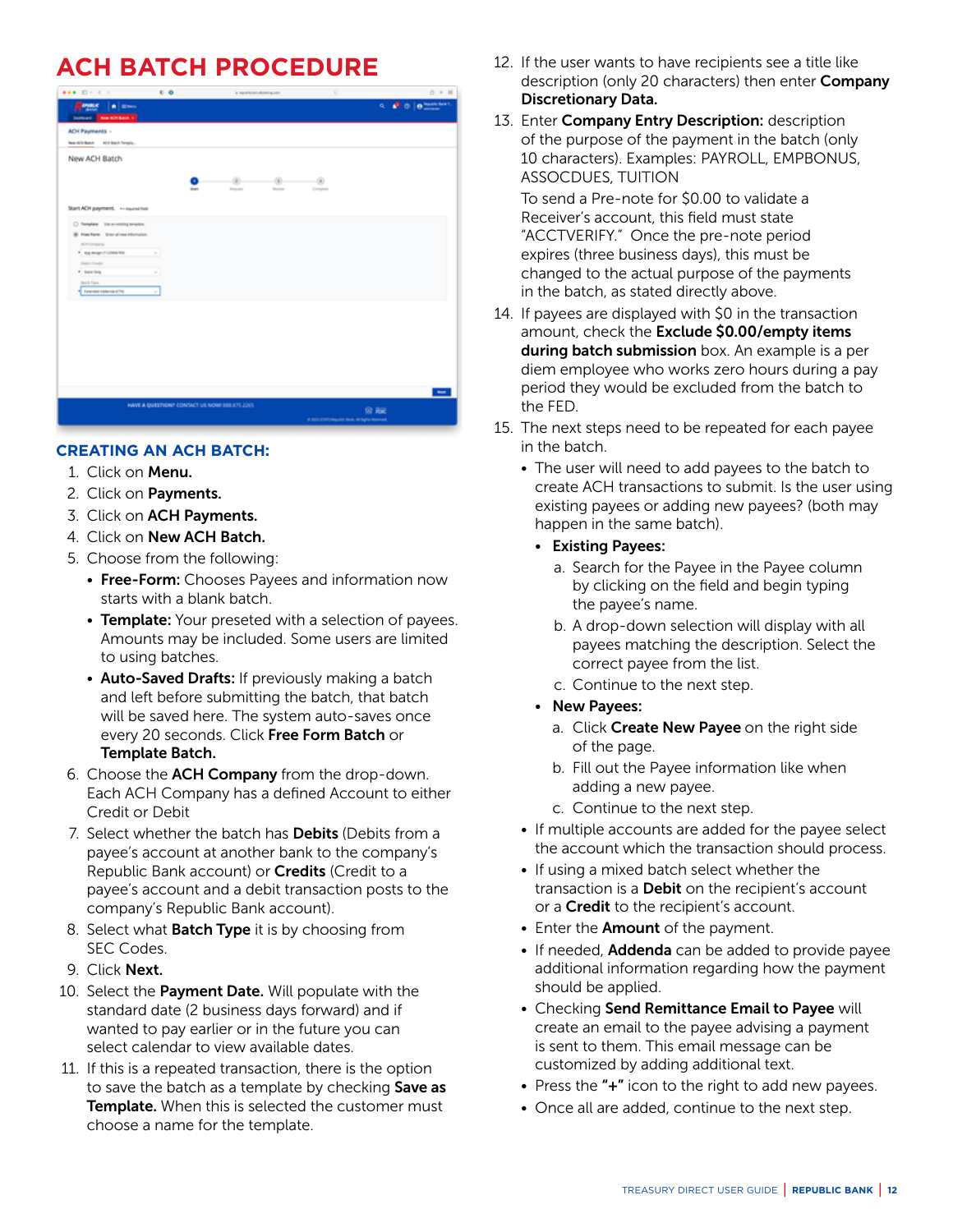# <span id="page-11-0"></span>**ACH BATCH PROCEDURE**

|                                                                                        | 0 <sub>0</sub>                               | a resulting close in  |                     | a)                                                |    | $0 + 11$                  |
|----------------------------------------------------------------------------------------|----------------------------------------------|-----------------------|---------------------|---------------------------------------------------|----|---------------------------|
| $R =$<br>A Breve<br><b>Golden Beartrich 1</b>                                          |                                              |                       |                     |                                                   |    | <b>4. P. O. D. MARKET</b> |
| ACH Payments -<br>New W/H Batch A/CH Batch Temple                                      |                                              |                       |                     |                                                   |    |                           |
| New ACH Batch                                                                          |                                              |                       |                     |                                                   |    |                           |
|                                                                                        | <b>Bart</b>                                  | a.<br><b>Formator</b> | ×<br><b>Ballion</b> | $\blacksquare$<br>Esmainte                        |    |                           |
| Start ACH payment.  expressed<br>C Template the at-seleing template.                   |                                              |                       |                     |                                                   |    |                           |
| St. Pree Form Drivt all new information.<br>ADI Director<br>* day design (7 US/66/789) | ×                                            |                       |                     |                                                   |    |                           |
| Debt-10 wd it<br>* Sektion<br>Belli Type                                               | ×                                            |                       |                     |                                                   |    |                           |
| Townstreams (7%)                                                                       | $\sim$                                       |                       |                     |                                                   |    |                           |
|                                                                                        |                                              |                       |                     |                                                   |    |                           |
|                                                                                        |                                              |                       |                     |                                                   |    |                           |
|                                                                                        |                                              |                       |                     |                                                   |    |                           |
|                                                                                        |                                              |                       |                     |                                                   |    | <b>New</b>                |
|                                                                                        | HAVE A QUESTION? CONTACT US NOW! BBL875.2265 |                       |                     | 6.2021 CORT/Republic Strint, All Eights Reserved. | 留版 |                           |

# **CREATING AN ACH BATCH:**

- 1. Click on Menu.
- 2. Click on Payments.
- 3. Click on ACH Payments.
- 4. Click on New ACH Batch.
- 5. Choose from the following:
	- Free-Form: Chooses Payees and information now starts with a blank batch.
	- Template: Your preseted with a selection of payees. Amounts may be included. Some users are limited to using batches.
	- Auto-Saved Drafts: If previously making a batch and left before submitting the batch, that batch will be saved here. The system auto-saves once every 20 seconds. Click Free Form Batch or Template Batch.
- 6. Choose the ACH Company from the drop-down. Each ACH Company has a defined Account to either Credit or Debit
- 7. Select whether the batch has **Debits** (Debits from a payee's account at another bank to the company's Republic Bank account) or **Credits** (Credit to a payee's account and a debit transaction posts to the company's Republic Bank account).
- 8. Select what **Batch Type** it is by choosing from SEC Codes.
- 9. Click Next.
- 10. Select the Payment Date. Will populate with the standard date (2 business days forward) and if wanted to pay earlier or in the future you can select calendar to view available dates.
- 11. If this is a repeated transaction, there is the option to save the batch as a template by checking Save as Template. When this is selected the customer must choose a name for the template.
- 12. If the user wants to have recipients see a title like description (only 20 characters) then enter **Company** Discretionary Data.
- 13. Enter Company Entry Description: description of the purpose of the payment in the batch (only 10 characters). Examples: PAYROLL, EMPBONUS, ASSOCDUES, TUITION

 To send a Pre-note for \$0.00 to validate a Receiver's account, this field must state "ACCTVERIFY." Once the pre-note period expires (three business days), this must be changed to the actual purpose of the payments in the batch, as stated directly above.

- 14. If payees are displayed with \$0 in the transaction amount, check the Exclude \$0.00/empty items during batch submission box. An example is a per diem employee who works zero hours during a pay period they would be excluded from the batch to the FED.
- 15. The next steps need to be repeated for each payee in the batch.
	- The user will need to add payees to the batch to create ACH transactions to submit. Is the user using existing payees or adding new payees? (both may happen in the same batch).
		- Existing Payees:
			- a. Search for the Payee in the Payee column by clicking on the field and begin typing the payee's name.
			- b. A drop-down selection will display with all payees matching the description. Select the correct payee from the list.
			- c. Continue to the next step.
		- New Payees:
			- a. Click Create New Payee on the right side of the page.
			- b. Fill out the Payee information like when adding a new payee.
			- c. Continue to the next step.
	- If multiple accounts are added for the payee select the account which the transaction should process.
	- If using a mixed batch select whether the transaction is a **Debit** on the recipient's account or a **Credit** to the recipient's account.
	- Enter the **Amount** of the payment.
	- If needed, Addenda can be added to provide payee additional information regarding how the payment should be applied.
	- Checking Send Remittance Email to Payee will create an email to the payee advising a payment is sent to them. This email message can be customized by adding additional text.
	- Press the "+" icon to the right to add new payees.
	- Once all are added, continue to the next step.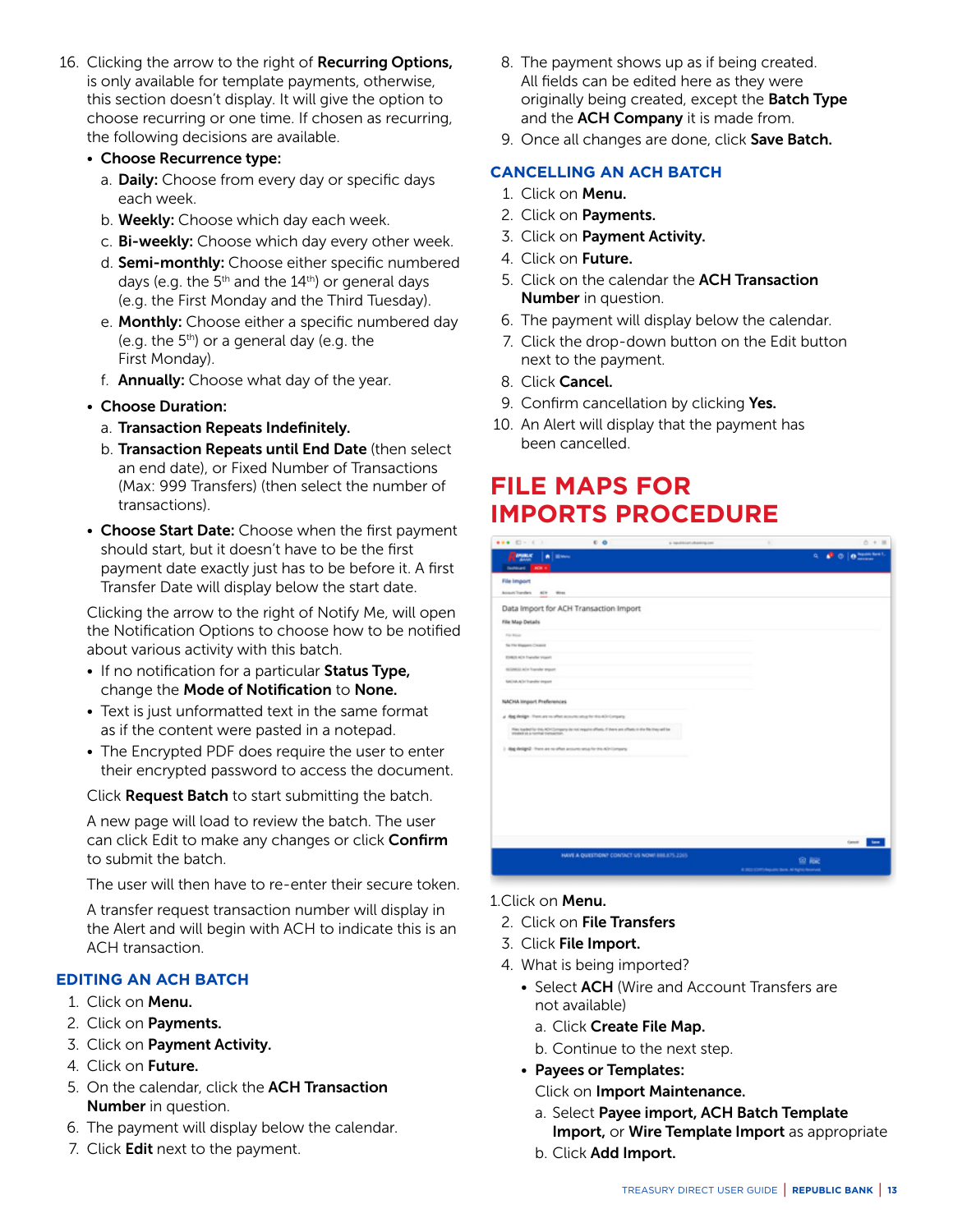- <span id="page-12-0"></span>16. Clicking the arrow to the right of Recurring Options, is only available for template payments, otherwise, this section doesn't display. It will give the option to choose recurring or one time. If chosen as recurring, the following decisions are available.
	- Choose Recurrence type:
		- a. Daily: Choose from every day or specific days each week.
		- b. Weekly: Choose which day each week.
		- c. Bi-weekly: Choose which day every other week.
		- d. **Semi-monthly:** Choose either specific numbered days (e.g. the  $5<sup>th</sup>$  and the  $14<sup>th</sup>$ ) or general days (e.g. the First Monday and the Third Tuesday).
		- e. Monthly: Choose either a specific numbered day (e.g. the  $5<sup>th</sup>$ ) or a general day (e.g. the First Monday).
		- f. Annually: Choose what day of the year.
	- Choose Duration:
		- a. Transaction Repeats Indefinitely.
		- b. Transaction Repeats until End Date (then select an end date), or Fixed Number of Transactions (Max: 999 Transfers) (then select the number of transactions).
	- Choose Start Date: Choose when the first payment should start, but it doesn't have to be the first payment date exactly just has to be before it. A first Transfer Date will display below the start date.

 Clicking the arrow to the right of Notify Me, will open the Notification Options to choose how to be notified about various activity with this batch.

- If no notification for a particular Status Type, change the Mode of Notification to None.
- Text is just unformatted text in the same format as if the content were pasted in a notepad.
- The Encrypted PDF does require the user to enter their encrypted password to access the document.

Click Request Batch to start submitting the batch.

 A new page will load to review the batch. The user can click Edit to make any changes or click Confirm to submit the batch.

The user will then have to re-enter their secure token.

 A transfer request transaction number will display in the Alert and will begin with ACH to indicate this is an ACH transaction.

# **EDITING AN ACH BATCH**

- 1. Click on Menu.
- 2. Click on **Payments.**
- 3. Click on Payment Activity.
- 4. Click on Future.
- 5. On the calendar, click the ACH Transaction Number in question.
- 6. The payment will display below the calendar.
- 7. Click Edit next to the payment.
- 8. The payment shows up as if being created. All fields can be edited here as they were originally being created, except the **Batch Type** and the ACH Company it is made from.
- 9. Once all changes are done, click Save Batch.

### **CANCELLING AN ACH BATCH**

- 1. Click on Menu.
- 2. Click on Payments.
- 3. Click on Payment Activity.
- 4. Click on Future.
- 5. Click on the calendar the **ACH Transaction** Number in question.
- 6. The payment will display below the calendar.
- 7. Click the drop-down button on the Edit button next to the payment.
- 8. Click Cancel.
- 9. Confirm cancellation by clicking Yes.
- 10. An Alert will display that the payment has been cancelled.

# **FILE MAPS FOR IMPORTS PROCEDURE**

| $111.00 \t{1} 1.000 \t{1}$                                   | $C$ O                                                                                                  | a restrictatularing con |                                               | $0 + 11$                                |
|--------------------------------------------------------------|--------------------------------------------------------------------------------------------------------|-------------------------|-----------------------------------------------|-----------------------------------------|
| Report<br>۸<br>Dollard ADI +                                 | <b>Blazes</b>                                                                                          |                         | ۹                                             | <b>Tepolit Seri T.</b><br>$\sigma$<br>a |
| File Import                                                  |                                                                                                        |                         |                                               |                                         |
| Account Transfers<br>ACH <sup>-</sup>                        | Wres                                                                                                   |                         |                                               |                                         |
|                                                              | Data Import for ACH Transaction Import                                                                 |                         |                                               |                                         |
| File Map Details                                             |                                                                                                        |                         |                                               |                                         |
| Flie Ritere                                                  |                                                                                                        |                         |                                               |                                         |
| No File Kinggare, Created                                    |                                                                                                        |                         |                                               |                                         |
| EDWIS ADA Frankfur Import                                    |                                                                                                        |                         |                                               |                                         |
| <b>SCODOLLACH Transfer strater</b><br>NATION ACTIVITY Import |                                                                                                        |                         |                                               |                                         |
|                                                              |                                                                                                        |                         |                                               |                                         |
| NACHA Import Preferences                                     |                                                                                                        |                         |                                               |                                         |
|                                                              | a digitalize (here are no often accounts small for the ADI Company                                     |                         |                                               |                                         |
| treated as a narrise transaction.                            | Also kaded for this ADA Dorquery do not require offerts, if there are offerts to the fits they will be |                         |                                               |                                         |
|                                                              | 3 dig design2 - Premiers no other accounts setup for this AD Company.                                  |                         |                                               |                                         |
|                                                              |                                                                                                        |                         |                                               |                                         |
|                                                              |                                                                                                        |                         |                                               |                                         |
|                                                              |                                                                                                        |                         |                                               |                                         |
|                                                              |                                                                                                        |                         |                                               |                                         |
|                                                              |                                                                                                        |                         |                                               |                                         |
|                                                              |                                                                                                        |                         |                                               |                                         |
|                                                              |                                                                                                        |                         |                                               | <b>Sea</b><br>Genet                     |
|                                                              | HAVE A QUESTION? CONTACT US NOW! 888.875.2265.                                                         |                         | 鱼脑                                            |                                         |
|                                                              |                                                                                                        |                         | 4.302 CIRT/Results: Seni. Al Eglis: Reserved. |                                         |

- 1.Click on Menu.
- 2. Click on File Transfers
- 3. Click File Import.
- 4. What is being imported?
	- Select **ACH** (Wire and Account Transfers are not available)
		- a. Click Create File Map.
		- b. Continue to the next step.
	- Payees or Templates: Click on Import Maintenance.
		- a. Select Payee import, ACH Batch Template Import, or Wire Template Import as appropriate
		- b. Click Add Import.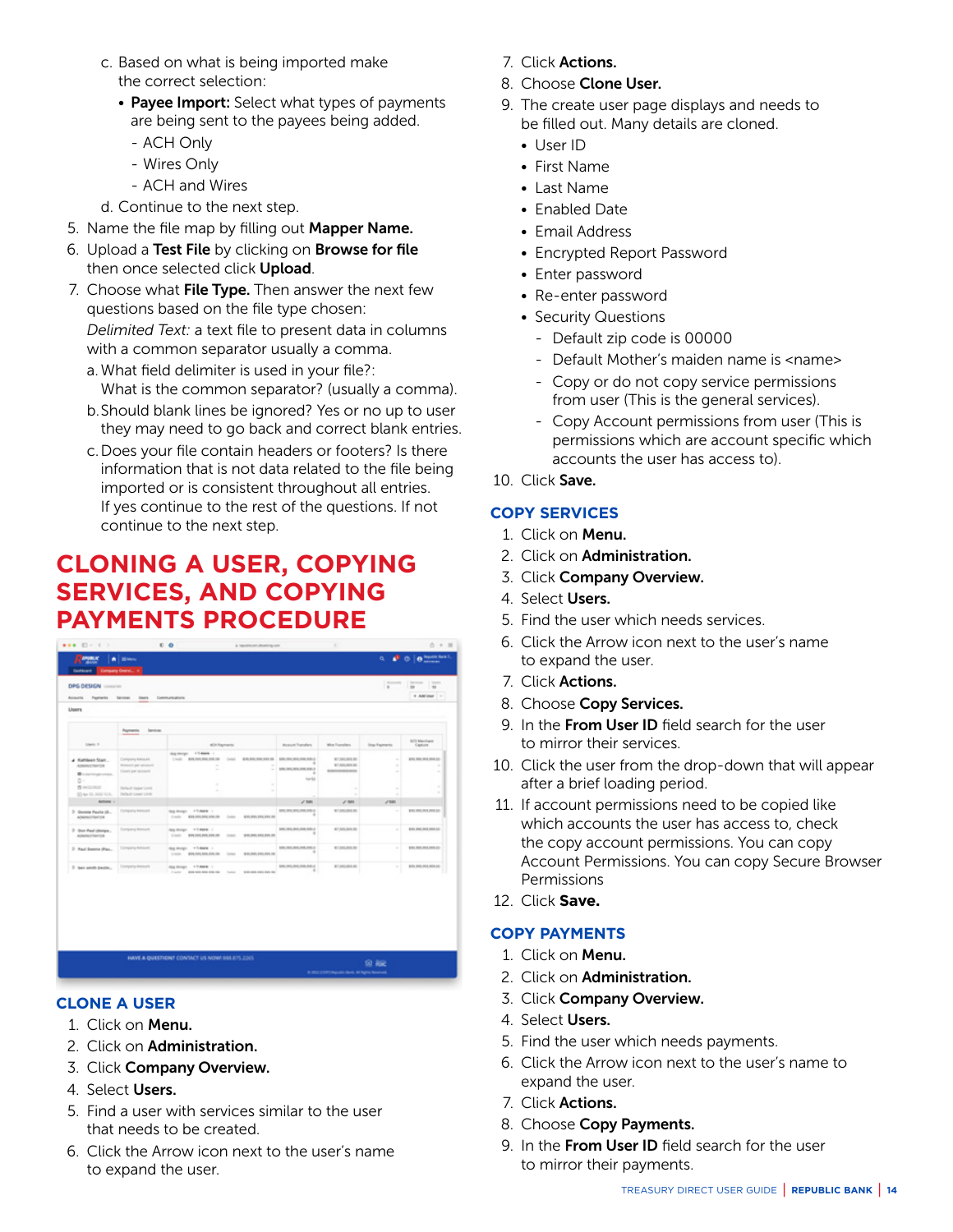- <span id="page-13-0"></span> c. Based on what is being imported make the correct selection:
	- Payee Import: Select what types of payments are being sent to the payees being added.
		- ACH Only
		- Wires Only
		- ACH and Wires
- d. Continue to the next step.
- 5. Name the file map by filling out Mapper Name.
- 6. Upload a Test File by clicking on Browse for file then once selected click Upload.
- 7. Choose what File Type. Then answer the next few questions based on the file type chosen:  *Delimited Text:* a text file to present data in columns
	- with a common separator usually a comma. a. What field delimiter is used in your file?:
	- What is the common separator? (usually a comma). b. Should blank lines be ignored? Yes or no up to user
	- they may need to go back and correct blank entries.
	- c. Does your file contain headers or footers? Is there information that is not data related to the file being imported or is consistent throughout all entries. If yes continue to the rest of the questions. If not continue to the next step.

# **CLONING A USER, COPYING SERVICES, AND COPYING PAYMENTS PROCEDURE**

|                                                                                                                                          | Payments<br>farvion.                                                                                            |                                                                                                                                                                              |                             |                                                        |                                                          |                                 |                                              |
|------------------------------------------------------------------------------------------------------------------------------------------|-----------------------------------------------------------------------------------------------------------------|------------------------------------------------------------------------------------------------------------------------------------------------------------------------------|-----------------------------|--------------------------------------------------------|----------------------------------------------------------|---------------------------------|----------------------------------------------|
| Users 11                                                                                                                                 |                                                                                                                 | ADI Payments                                                                                                                                                                 |                             | <b>Ausum Transfers</b>                                 | Wire Franchers                                           | <b>Step Fayments</b>            | SOS Machael<br>Gastum                        |
| # Kathleen Start<br>ADMINISTRATOR<br>We perform contact.<br>$\mathbb{G}^{\cdot\cdot\cdot}$<br><b>IS NOVALE</b><br><b>STAY 31 HW O.K.</b> | Company Almount<br><b>Rimson any attraced</b><br>Enant per account<br>Default Upper Links<br>Default Lower Link | Sig deeps 15 more 1<br>Could BRANDARD 200.00<br>Call 1<br>$\sim$<br>$\frac{1}{2} \left( \frac{1}{2} \right) \left( \frac{1}{2} \right) \left( \frac{1}{2} \right)$<br>٠<br>٠ | WAS MILTIN FOX 28<br>٠<br>٠ | \$50,000,000,000,000.0<br>100,000,000,000,000<br>tanta | 87,501,001.00<br>\$7.800,000.00<br><b>BUSINESSMANING</b> | $\sim$<br>$\sim$<br>٠<br>÷<br>٠ | \$15,000,000,000.00<br>٠<br>÷<br>$\sim$<br>٠ |
| Artists -                                                                                                                                |                                                                                                                 |                                                                                                                                                                              |                             | $\rho$ mm                                              | $\sigma$ mm                                              | J'ME                            |                                              |
| 2. Geomete Paulie (G.<br>ADMINISTRATOR                                                                                                   | Congoria Amount                                                                                                 | Aug Analys - + 5 more 1<br>Crack \$99,000,000,000.00 Color \$90,995,995,995 PE                                                                                               |                             | MRL 953, 955, 956, 935-2                               | 97,500,000.00                                            | $\sim$                          | <b>BYLINK RILRICH DD</b>                     |
| 7 Box Paul (distance)<br>ATAMACOMPTER                                                                                                    | Company Resource                                                                                                | Any decipt 4.5 more 1<br>CASE BRUNNINGHOUS DAVI. BRUNNINGHOUS                                                                                                                |                             | <b>GRA 905-905-905-901-2</b>                           | \$7,500,000.00                                           | $\sim$                          | \$300,000,000,000,000                        |
| 2- Haut Donnta (Pau                                                                                                                      | Conquery Amount                                                                                                 | Aug Antign # 1 more 1<br>Could \$28,000,000,000.00 Column \$90,000,000.000.00                                                                                                |                             | 504, 505, \$55, 256, \$55.0                            | 87,503,505.00                                            | ÷                               | <b>BYA FOR FOX FOR DO</b>                    |
| 7 Sen sento pauto.                                                                                                                       | Company Amount                                                                                                  | days shortgay  . 9.75 month<br>Carter, Andrea Marchan, Carter, Andrea Marchan                                                                                                |                             | \$260, 900, 910, 910, 910, 8<br>٠                      | \$7,500,000.00                                           | $\sim$                          | \$300,000,000,000,000                        |

# **CLONE A USER**

- 1. Click on Menu.
- 2. Click on Administration.
- 3. Click Company Overview.
- 4. Select Users.
- 5. Find a user with services similar to the user that needs to be created.
- 6. Click the Arrow icon next to the user's name to expand the user.
- 7. Click Actions.
- 8. Choose Clone User.
- 9. The create user page displays and needs to be filled out. Many details are cloned.
	- User ID
	- First Name
	- Last Name
	- Enabled Date
	- Email Address
	- Encrypted Report Password
	- Enter password
	- Re-enter password
	- Security Questions
		- Default zip code is 00000
		- Default Mother's maiden name is <name>
		- Copy or do not copy service permissions from user (This is the general services).
		- Copy Account permissions from user (This is permissions which are account specific which accounts the user has access to).
- 10. Click Save.

# **COPY SERVICES**

- 1. Click on Menu.
- 2. Click on Administration.
- 3. Click Company Overview.
- 4. Select Users.
- 5. Find the user which needs services.
- 6. Click the Arrow icon next to the user's name to expand the user.
- 7. Click Actions.
- 8. Choose Copy Services.
- 9. In the From User ID field search for the user to mirror their services.
- 10. Click the user from the drop-down that will appear after a brief loading period.
- 11. If account permissions need to be copied like which accounts the user has access to, check the copy account permissions. You can copy Account Permissions. You can copy Secure Browser Permissions
- 12. Click **Save.**

# **COPY PAYMENTS**

- 1. Click on Menu.
- 2. Click on Administration.
- 3. Click Company Overview.
- 4. Select Users.
- 5. Find the user which needs payments.
- 6. Click the Arrow icon next to the user's name to expand the user.
- 7. Click Actions.
- 8. Choose Copy Payments.
- 9. In the From User ID field search for the user to mirror their payments.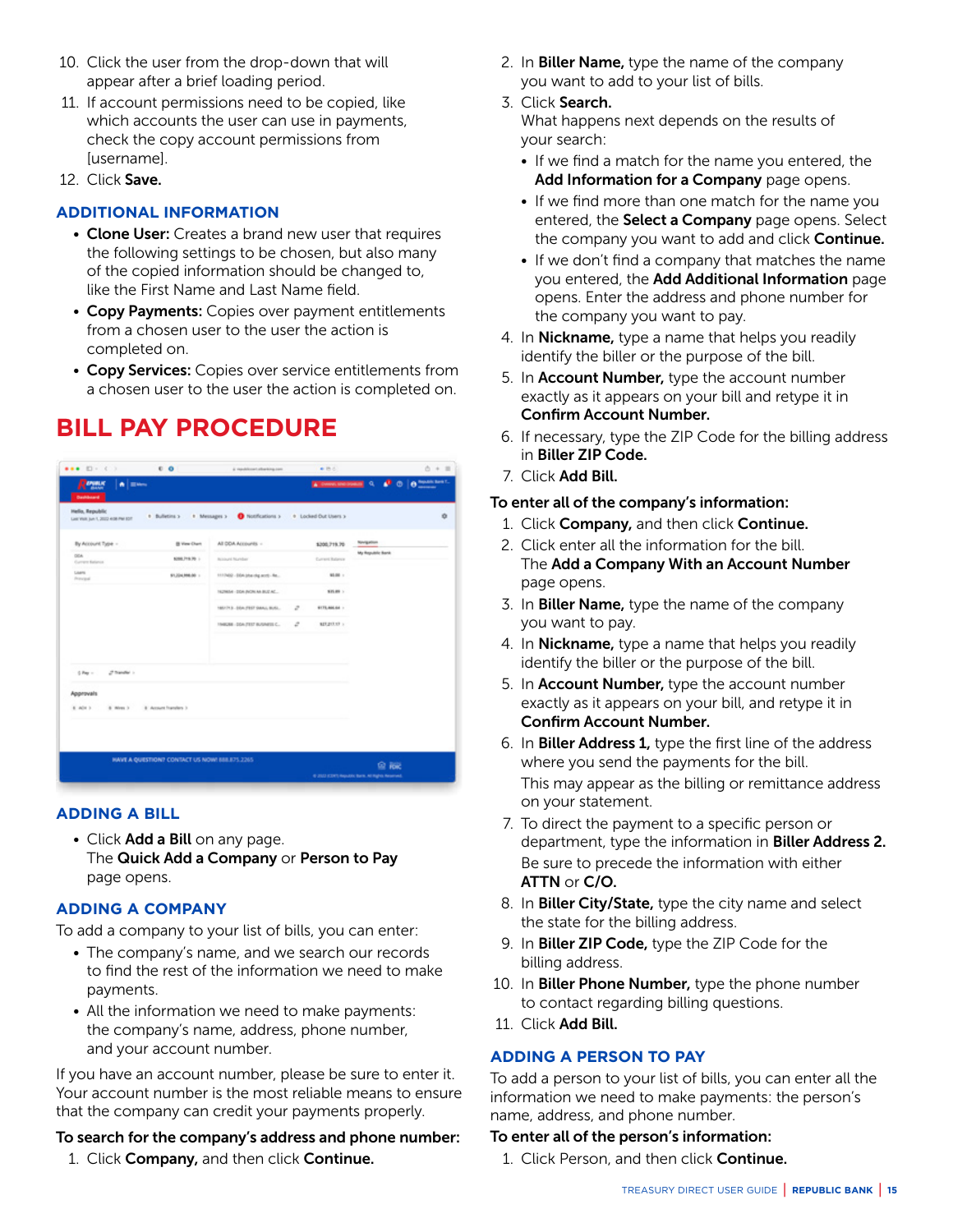- <span id="page-14-0"></span>10. Click the user from the drop-down that will appear after a brief loading period.
- 11. If account permissions need to be copied, like which accounts the user can use in payments, check the copy account permissions from [username].
- 12. Click Save.

#### **ADDITIONAL INFORMATION**

- Clone User: Creates a brand new user that requires the following settings to be chosen, but also many of the copied information should be changed to, like the First Name and Last Name field.
- Copy Payments: Copies over payment entitlements from a chosen user to the user the action is completed on.
- Copy Services: Copies over service entitlements from a chosen user to the user the action is completed on.

# **BILL PAY PROCEDURE**



#### **ADDING A BILL**

• Click Add a Bill on any page. The Quick Add a Company or Person to Pay page opens.

#### **ADDING A COMPANY**

To add a company to your list of bills, you can enter:

- The company's name, and we search our records to find the rest of the information we need to make payments.
- All the information we need to make payments: the company's name, address, phone number, and your account number.

If you have an account number, please be sure to enter it. Your account number is the most reliable means to ensure that the company can credit your payments properly.

#### To search for the company's address and phone number:

1. Click **Company**, and then click **Continue.** 

- 2. In Biller Name, type the name of the company you want to add to your list of bills.
- 3. Click Search. What happens next depends on the results of your search:
	- If we find a match for the name you entered, the Add Information for a Company page opens.
	- If we find more than one match for the name you entered, the **Select a Company** page opens. Select the company you want to add and click Continue.
	- If we don't find a company that matches the name you entered, the Add Additional Information page opens. Enter the address and phone number for the company you want to pay.
- 4. In **Nickname,** type a name that helps you readily identify the biller or the purpose of the bill.
- 5. In **Account Number,** type the account number exactly as it appears on your bill and retype it in Confirm Account Number.
- 6. If necessary, type the ZIP Code for the billing address in Biller ZIP Code.
- 7. Click Add Bill.

#### To enter all of the company's information:

- 1. Click **Company**, and then click **Continue.**
- 2. Click enter all the information for the bill. The Add a Company With an Account Number page opens.
- 3. In Biller Name, type the name of the company you want to pay.
- 4. In Nickname, type a name that helps you readily identify the biller or the purpose of the bill.
- 5. In Account Number, type the account number exactly as it appears on your bill, and retype it in Confirm Account Number.
- 6. In Biller Address 1, type the first line of the address where you send the payments for the bill. This may appear as the billing or remittance address on your statement.
- 7. To direct the payment to a specific person or department, type the information in **Biller Address 2.**  Be sure to precede the information with either ATTN or C/O.
- 8. In **Biller City/State,** type the city name and select the state for the billing address.
- 9. In Biller ZIP Code, type the ZIP Code for the billing address.
- 10. In Biller Phone Number, type the phone number to contact regarding billing questions.
- 11 Click Add Bill.

#### **ADDING A PERSON TO PAY**

To add a person to your list of bills, you can enter all the information we need to make payments: the person's name, address, and phone number.

#### To enter all of the person's information:

1. Click Person, and then click **Continue.**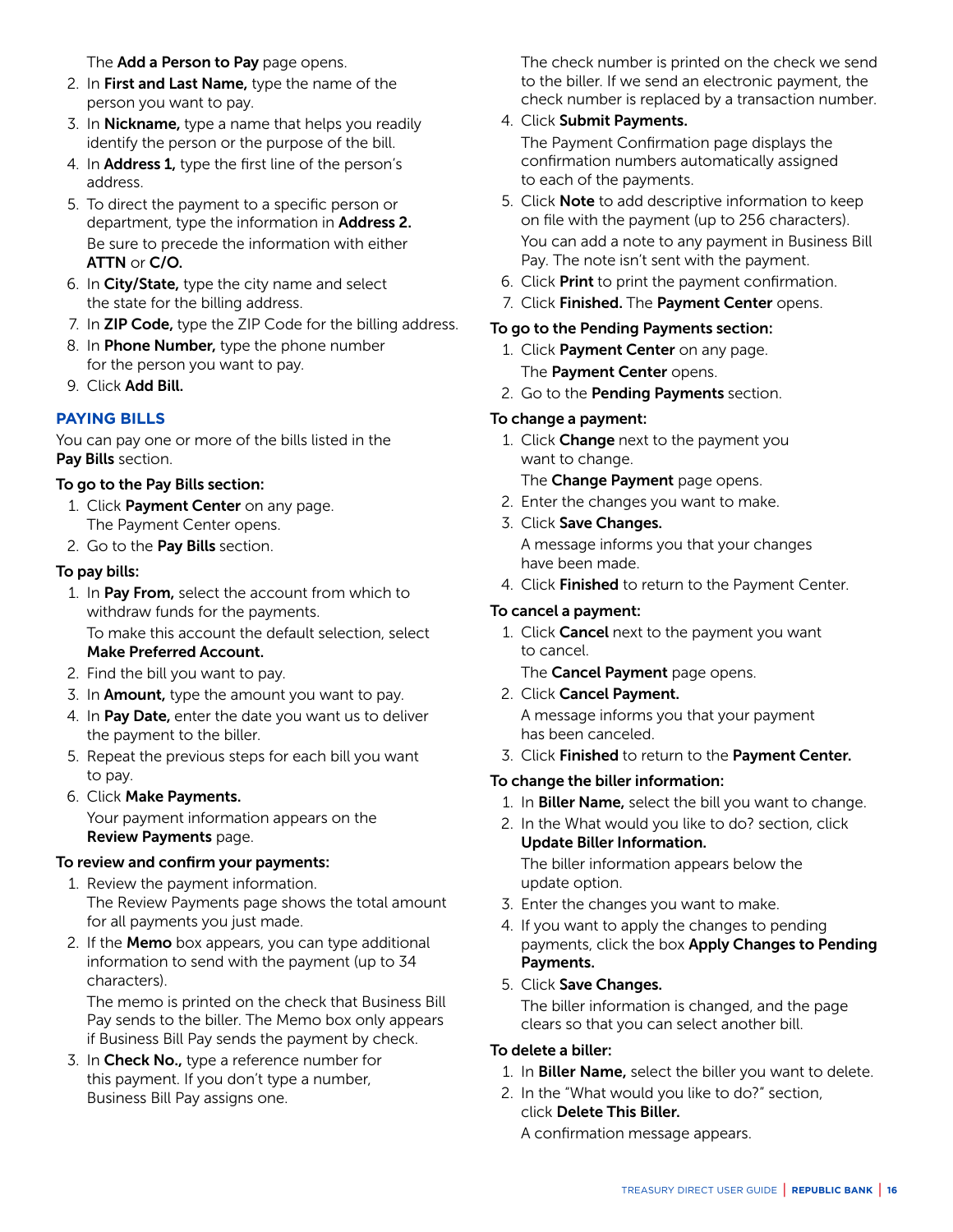#### The **Add a Person to Pay** page opens.

- 2. In First and Last Name, type the name of the person you want to pay.
- 3. In **Nickname**, type a name that helps you readily identify the person or the purpose of the bill.
- 4. In **Address 1,** type the first line of the person's address.
- 5. To direct the payment to a specific person or department, type the information in **Address 2.**  Be sure to precede the information with either ATTN or C/O.
- 6. In City/State, type the city name and select the state for the billing address.
- 7. In ZIP Code, type the ZIP Code for the billing address.
- 8. In Phone Number, type the phone number for the person you want to pay.
- 9. Click Add Bill.

# **PAYING BILLS**

You can pay one or more of the bills listed in the Pay Bills section.

# To go to the Pay Bills section:

- 1. Click Payment Center on any page. The Payment Center opens.
- 2. Go to the Pay Bills section.

# To pay bills:

- 1. In Pay From, select the account from which to withdraw funds for the payments. To make this account the default selection, select Make Preferred Account.
- 2. Find the bill you want to pay.
- 3. In **Amount**, type the amount you want to pay.
- 4. In Pay Date, enter the date you want us to deliver the payment to the biller.
- 5. Repeat the previous steps for each bill you want to pay.
- 6. Click Make Payments. Your payment information appears on the Review Payments page.

# To review and confirm your payments:

- 1. Review the payment information. The Review Payments page shows the total amount for all payments you just made.
- 2. If the **Memo** box appears, you can type additional information to send with the payment (up to 34 characters).

 The memo is printed on the check that Business Bill Pay sends to the biller. The Memo box only appears if Business Bill Pay sends the payment by check.

3. In Check No., type a reference number for this payment. If you don't type a number, Business Bill Pay assigns one.

 The check number is printed on the check we send to the biller. If we send an electronic payment, the check number is replaced by a transaction number.

# 4. Click Submit Payments.

 The Payment Confirmation page displays the confirmation numbers automatically assigned to each of the payments.

- 5. Click **Note** to add descriptive information to keep on file with the payment (up to 256 characters). You can add a note to any payment in Business Bill Pay. The note isn't sent with the payment.
- 6. Click Print to print the payment confirmation.
- 7. Click Finished. The Payment Center opens.

# To go to the Pending Payments section:

- 1. Click Payment Center on any page. The Payment Center opens.
- 2. Go to the Pending Payments section.

# To change a payment:

1. Click Change next to the payment you want to change.

The Change Payment page opens.

- 2. Enter the changes you want to make.
- 3. Click Save Changes. A message informs you that your changes have been made.
- 4. Click Finished to return to the Payment Center.

### To cancel a payment:

1. Click **Cancel** next to the payment you want to cancel.

The **Cancel Payment** page opens.

2. Click Cancel Payment.

 A message informs you that your payment has been canceled.

3. Click Finished to return to the Payment Center.

# To change the biller information:

- 1. In Biller Name, select the bill you want to change.
- 2. In the What would you like to do? section, click Update Biller Information. The biller information appears below the update option.
- 3. Enter the changes you want to make.
- 4. If you want to apply the changes to pending payments, click the box Apply Changes to Pending Payments.
- 5. Click Save Changes.

 The biller information is changed, and the page clears so that you can select another bill.

# To delete a biller:

- 1. In Biller Name, select the biller you want to delete.
- 2. In the "What would you like to do?" section, click Delete This Biller.

A confirmation message appears.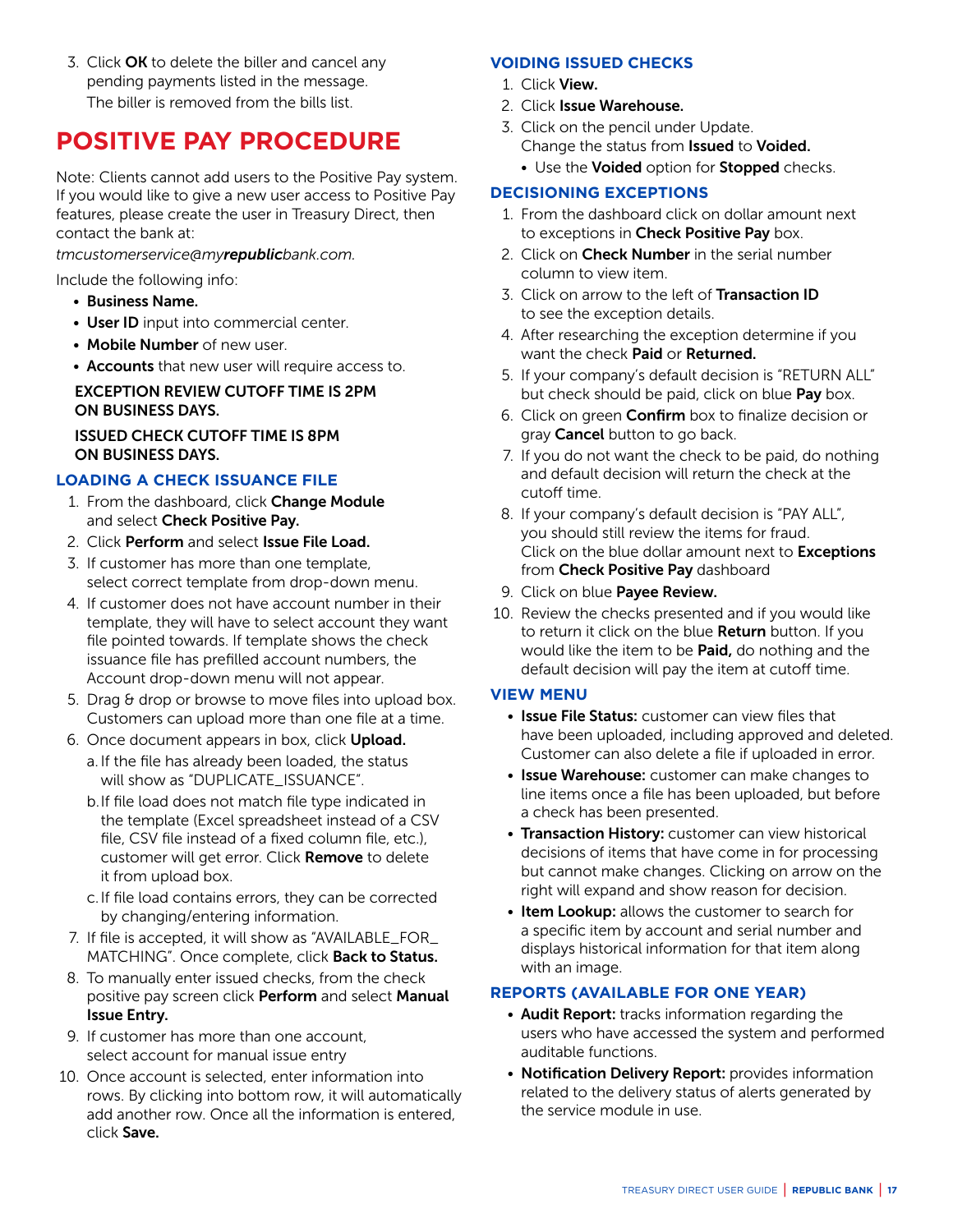<span id="page-16-0"></span>3. Click OK to delete the biller and cancel any pending payments listed in the message. The biller is removed from the bills list.

# **POSITIVE PAY PROCEDURE**

Note: Clients cannot add users to the Positive Pay system. If you would like to give a new user access to Positive Pay features, please create the user in Treasury Direct, then contact the bank at:

*tmcustomerservice@myrepublicbank.com.* 

Include the following info:

- Business Name.
- User ID input into commercial center.
- Mobile Number of new user.
- Accounts that new user will require access to.

#### EXCEPTION REVIEW CUTOFF TIME IS 2PM ON BUSINESS DAYS.

#### ISSUED CHECK CUTOFF TIME IS 8PM ON BUSINESS DAYS.

# **LOADING A CHECK ISSUANCE FILE**

- 1. From the dashboard, click Change Module and select Check Positive Pay.
- 2. Click Perform and select Issue File Load.
- 3. If customer has more than one template, select correct template from drop-down menu.
- 4. If customer does not have account number in their template, they will have to select account they want file pointed towards. If template shows the check issuance file has prefilled account numbers, the Account drop-down menu will not appear.
- 5. Drag & drop or browse to move files into upload box. Customers can upload more than one file at a time.
- 6. Once document appears in box, click **Upload.**
- a. If the file has already been loaded, the status will show as "DUPLICATE\_ISSUANCE".
	- b. If file load does not match file type indicated in the template (Excel spreadsheet instead of a CSV file, CSV file instead of a fixed column file, etc.), customer will get error. Click Remove to delete it from upload box.
	- c. If file load contains errors, they can be corrected by changing/entering information.
- 7. If file is accepted, it will show as "AVAILABLE\_FOR\_ MATCHING". Once complete, click Back to Status.
- 8. To manually enter issued checks, from the check positive pay screen click Perform and select Manual Issue Entry.
- 9. If customer has more than one account, select account for manual issue entry
- 10. Once account is selected, enter information into rows. By clicking into bottom row, it will automatically add another row. Once all the information is entered, click Save.

#### **VOIDING ISSUED CHECKS**

- 1. Click View.
- 2. Click Issue Warehouse.
- 3. Click on the pencil under Update. Change the status from Issued to Voided.
	- Use the Voided option for Stopped checks.

### **DECISIONING EXCEPTIONS**

- 1. From the dashboard click on dollar amount next to exceptions in **Check Positive Pay** box.
- 2. Click on Check Number in the serial number column to view item.
- 3. Click on arrow to the left of Transaction ID to see the exception details.
- 4. After researching the exception determine if you want the check **Paid** or **Returned.**
- 5. If your company's default decision is "RETURN ALL" but check should be paid, click on blue Pay box.
- 6. Click on green Confirm box to finalize decision or gray **Cancel** button to go back.
- 7. If you do not want the check to be paid, do nothing and default decision will return the check at the cutoff time.
- 8. If your company's default decision is "PAY ALL", you should still review the items for fraud. Click on the blue dollar amount next to **Exceptions** from Check Positive Pay dashboard
- 9. Click on blue Payee Review.
- 10. Review the checks presented and if you would like to return it click on the blue Return button. If you would like the item to be **Paid**, do nothing and the default decision will pay the item at cutoff time.

#### **VIEW MENU**

- Issue File Status: customer can view files that have been uploaded, including approved and deleted. Customer can also delete a file if uploaded in error.
- Issue Warehouse: customer can make changes to line items once a file has been uploaded, but before a check has been presented.
- Transaction History: customer can view historical decisions of items that have come in for processing but cannot make changes. Clicking on arrow on the right will expand and show reason for decision.
- Item Lookup: allows the customer to search for a specific item by account and serial number and displays historical information for that item along with an image.

#### **REPORTS (AVAILABLE FOR ONE YEAR)**

- Audit Report: tracks information regarding the users who have accessed the system and performed auditable functions.
- Notification Delivery Report: provides information related to the delivery status of alerts generated by the service module in use.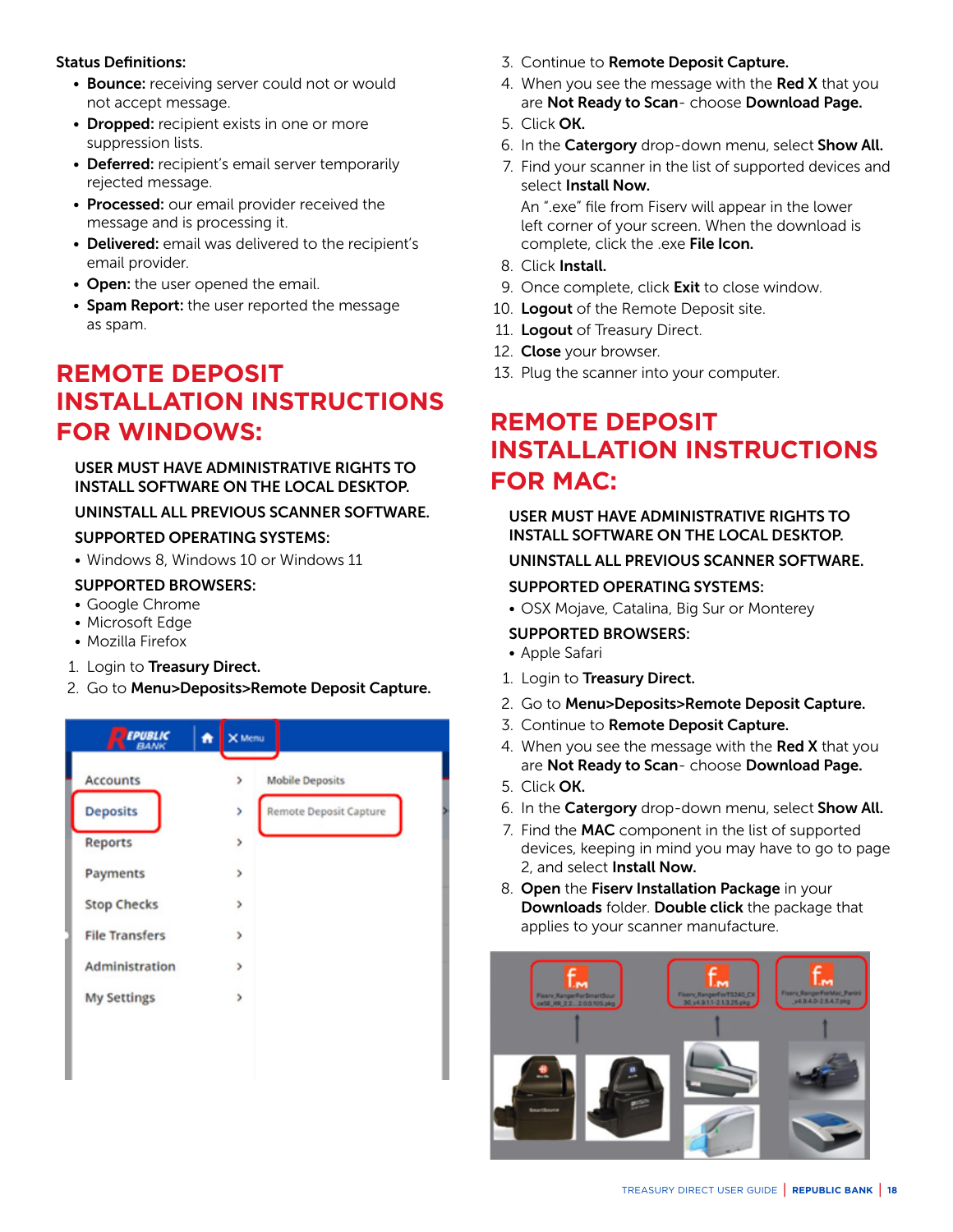#### <span id="page-17-0"></span>Status Definitions:

- Bounce: receiving server could not or would not accept message.
- Dropped: recipient exists in one or more suppression lists.
- Deferred: recipient's email server temporarily rejected message.
- Processed: our email provider received the message and is processing it.
- Delivered: email was delivered to the recipient's email provider.
- Open: the user opened the email.
- Spam Report: the user reported the message as spam.

# **REMOTE DEPOSIT INSTALLATION INSTRUCTIONS FOR WINDOWS:**

USER MUST HAVE ADMINISTRATIVE RIGHTS TO INSTALL SOFTWARE ON THE LOCAL DESKTOP.

# UNINSTALL ALL PREVIOUS SCANNER SOFTWARE.

# SUPPORTED OPERATING SYSTEMS:

• Windows 8, Windows 10 or Windows 11

# SUPPORTED BROWSERS:

- Google Chrome
- Microsoft Edge
- Mozilla Firefox
- 1. Login to Treasury Direct.
- 2. Go to Menu>Deposits>Remote Deposit Capture.



- 3. Continue to Remote Deposit Capture.
- 4. When you see the message with the Red X that you are Not Ready to Scan- choose Download Page.
- 5. Click OK.
- 6. In the Catergory drop-down menu, select Show All.
- 7. Find your scanner in the list of supported devices and select Install Now.

 An ".exe" file from Fiserv will appear in the lower left corner of your screen. When the download is complete, click the .exe File Icon.

- 8. Click Install.
- 9. Once complete, click **Exit** to close window.
- 10. Logout of the Remote Deposit site.
- 11. Logout of Treasury Direct.
- 12. Close your browser.
- 13. Plug the scanner into your computer.

# **REMOTE DEPOSIT INSTALLATION INSTRUCTIONS FOR MAC:**

# USER MUST HAVE ADMINISTRATIVE RIGHTS TO INSTALL SOFTWARE ON THE LOCAL DESKTOP.

# UNINSTALL ALL PREVIOUS SCANNER SOFTWARE.

# SUPPORTED OPERATING SYSTEMS:

• OSX Mojave, Catalina, Big Sur or Monterey

# SUPPORTED BROWSERS:

- Apple Safari
- 1. Login to Treasury Direct.
- 2. Go to Menu>Deposits>Remote Deposit Capture.
- 3. Continue to Remote Deposit Capture.
- 4. When you see the message with the Red  $X$  that you are Not Ready to Scan- choose Download Page.
- 5. Click OK.
- 6. In the **Catergory** drop-down menu, select **Show All.**
- 7. Find the MAC component in the list of supported devices, keeping in mind you may have to go to page 2, and select Install Now.
- 8. Open the Fiserv Installation Package in your Downloads folder. Double click the package that applies to your scanner manufacture.

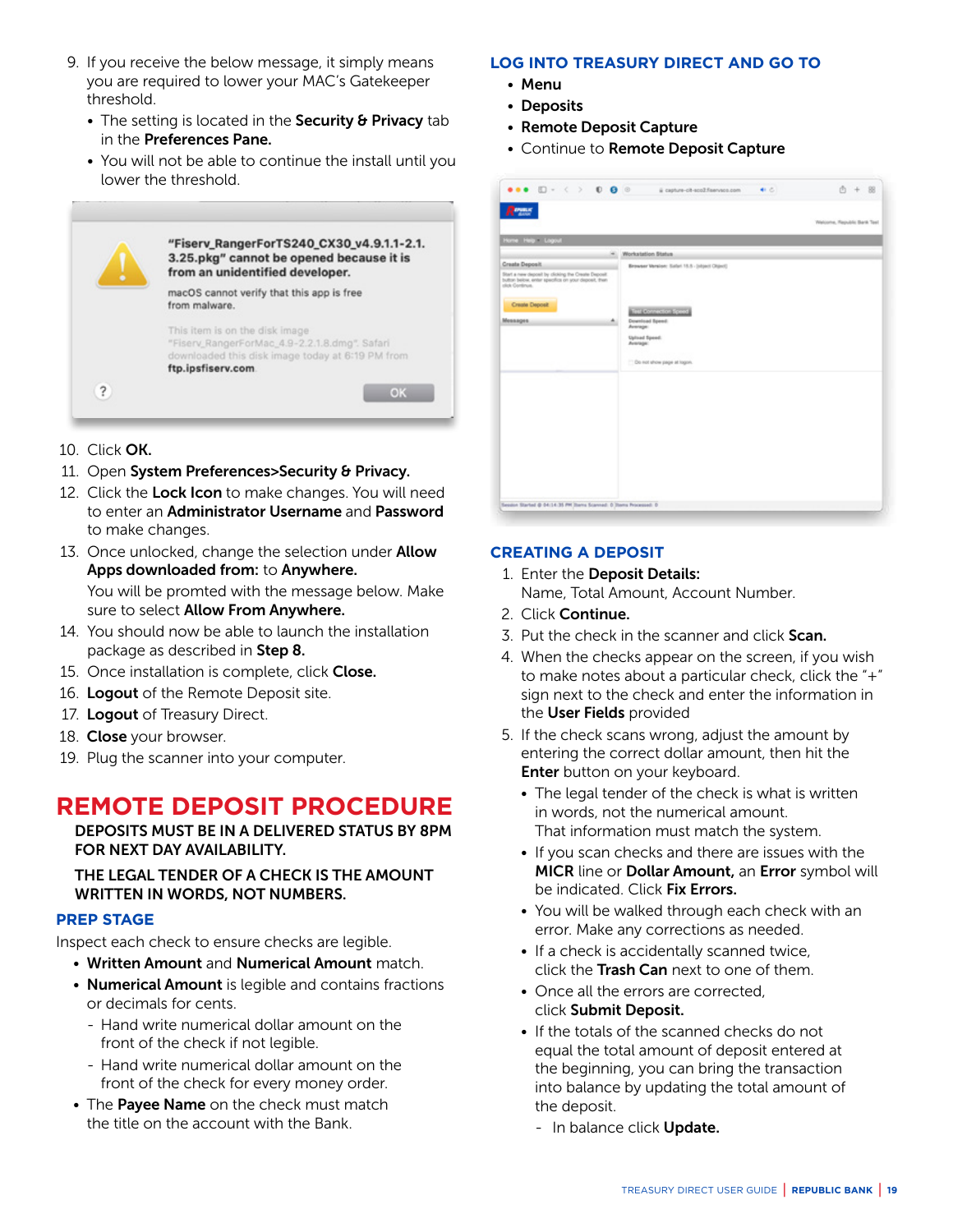- <span id="page-18-0"></span>9. If you receive the below message, it simply means you are required to lower your MAC's Gatekeeper threshold.
	- The setting is located in the Security & Privacy tab in the Preferences Pane.
	- You will not be able to continue the install until you lower the threshold.



- 10. Click OK.
- 11. Open System Preferences>Security & Privacy.
- 12. Click the Lock Icon to make changes. You will need to enter an Administrator Username and Password to make changes.
- 13. Once unlocked, change the selection under **Allow** Apps downloaded from: to Anywhere. You will be promted with the message below. Make sure to select **Allow From Anywhere.**
- 14. You should now be able to launch the installation package as described in Step 8.
- 15. Once installation is complete, click Close.
- 16. Logout of the Remote Deposit site.
- 17. Logout of Treasury Direct.
- 18. Close your browser.
- 19. Plug the scanner into your computer.

# **REMOTE DEPOSIT PROCEDURE**

DEPOSITS MUST BE IN A DELIVERED STATUS BY 8PM FOR NEXT DAY AVAILABILITY.

#### THE LEGAL TENDER OF A CHECK IS THE AMOUNT WRITTEN IN WORDS, NOT NUMBERS.

#### **PREP STAGE**

Inspect each check to ensure checks are legible.

- Written Amount and Numerical Amount match.
- Numerical Amount is legible and contains fractions or decimals for cents.
	- Hand write numerical dollar amount on the front of the check if not legible.
	- Hand write numerical dollar amount on the front of the check for every money order.
- The Payee Name on the check must match the title on the account with the Bank.

#### **LOG INTO TREASURY DIRECT AND GO TO**

- Menu
- Deposits
- Remote Deposit Capture
- Continue to Remote Deposit Capture

|                                                                  |                                                                                                                   | Welcome, Republic Bank Tool |
|------------------------------------------------------------------|-------------------------------------------------------------------------------------------------------------------|-----------------------------|
| Home Help Logout                                                 |                                                                                                                   |                             |
| ÷                                                                | Workstation Status                                                                                                |                             |
| <b>Create Deposit</b>                                            | Browser Version: Safari 15.5 - (object Olgect)                                                                    |                             |
| click Continue.<br><b>Create Deposit</b><br><b>Messages</b><br>۰ | TELESCOPES ESCOL<br>Download Speed:<br>Average:<br><b>Upload Speed:</b><br>Average:<br>TO not show page at logon. |                             |
|                                                                  |                                                                                                                   |                             |
|                                                                  |                                                                                                                   |                             |
|                                                                  |                                                                                                                   |                             |
|                                                                  |                                                                                                                   |                             |

#### **CREATING A DEPOSIT**

- 1. Enter the Deposit Details: Name, Total Amount, Account Number.
- 2. Click Continue.
- 3. Put the check in the scanner and click **Scan.**
- 4. When the checks appear on the screen, if you wish to make notes about a particular check, click the "+" sign next to the check and enter the information in the User Fields provided
- 5. If the check scans wrong, adjust the amount by entering the correct dollar amount, then hit the **Enter** button on your keyboard.
	- The legal tender of the check is what is written in words, not the numerical amount. That information must match the system.
	- If you scan checks and there are issues with the MICR line or Dollar Amount, an Error symbol will be indicated. Click Fix Errors.
	- You will be walked through each check with an error. Make any corrections as needed.
	- If a check is accidentally scanned twice, click the **Trash Can** next to one of them.
	- Once all the errors are corrected, click Submit Deposit.
	- If the totals of the scanned checks do not equal the total amount of deposit entered at the beginning, you can bring the transaction into balance by updating the total amount of the deposit.
		- In balance click Update.